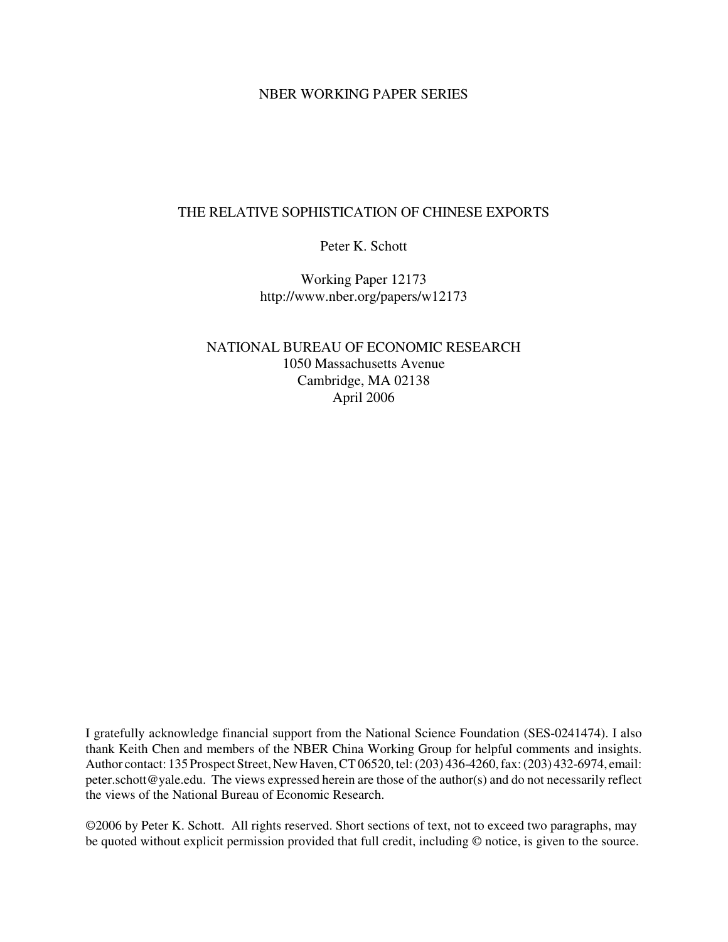# NBER WORKING PAPER SERIES

# THE RELATIVE SOPHISTICATION OF CHINESE EXPORTS

Peter K. Schott

Working Paper 12173 http://www.nber.org/papers/w12173

NATIONAL BUREAU OF ECONOMIC RESEARCH 1050 Massachusetts Avenue Cambridge, MA 02138 April 2006

I gratefully acknowledge financial support from the National Science Foundation (SES-0241474). I also thank Keith Chen and members of the NBER China Working Group for helpful comments and insights. Author contact: 135 Prospect Street, New Haven, CT 06520, tel: (203) 436-4260, fax: (203) 432-6974, email: peter.schott@yale.edu. The views expressed herein are those of the author(s) and do not necessarily reflect the views of the National Bureau of Economic Research.

©2006 by Peter K. Schott. All rights reserved. Short sections of text, not to exceed two paragraphs, may be quoted without explicit permission provided that full credit, including © notice, is given to the source.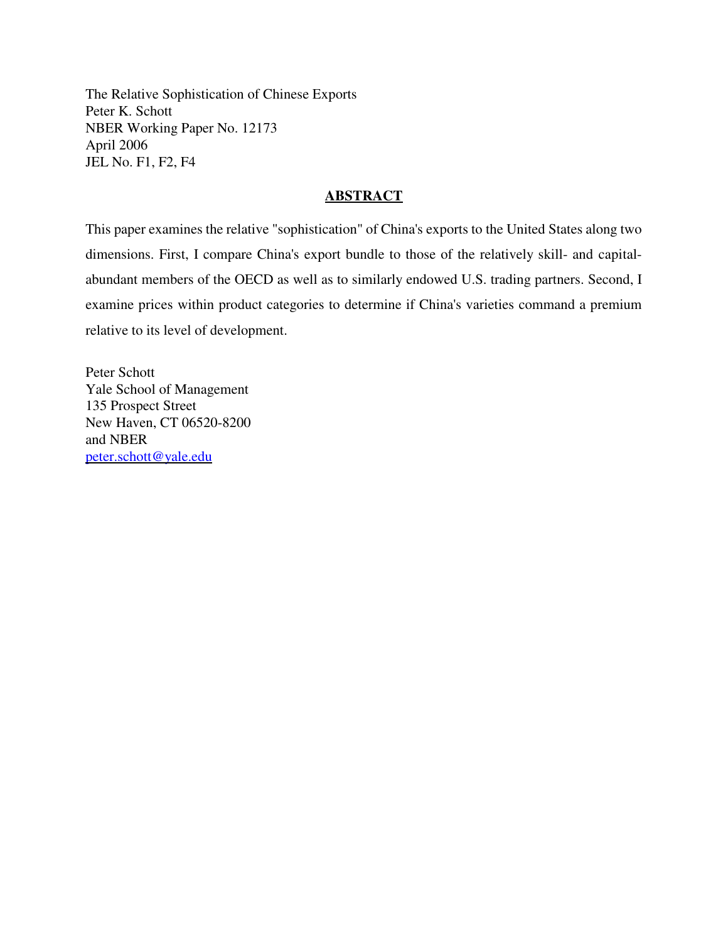The Relative Sophistication of Chinese Exports Peter K. Schott NBER Working Paper No. 12173 April 2006 JEL No. F1, F2, F4

# **ABSTRACT**

This paper examines the relative "sophistication" of China's exports to the United States along two dimensions. First, I compare China's export bundle to those of the relatively skill- and capitalabundant members of the OECD as well as to similarly endowed U.S. trading partners. Second, I examine prices within product categories to determine if China's varieties command a premium relative to its level of development.

Peter Schott Yale School of Management 135 Prospect Street New Haven, CT 06520-8200 and NBER peter.schott@yale.edu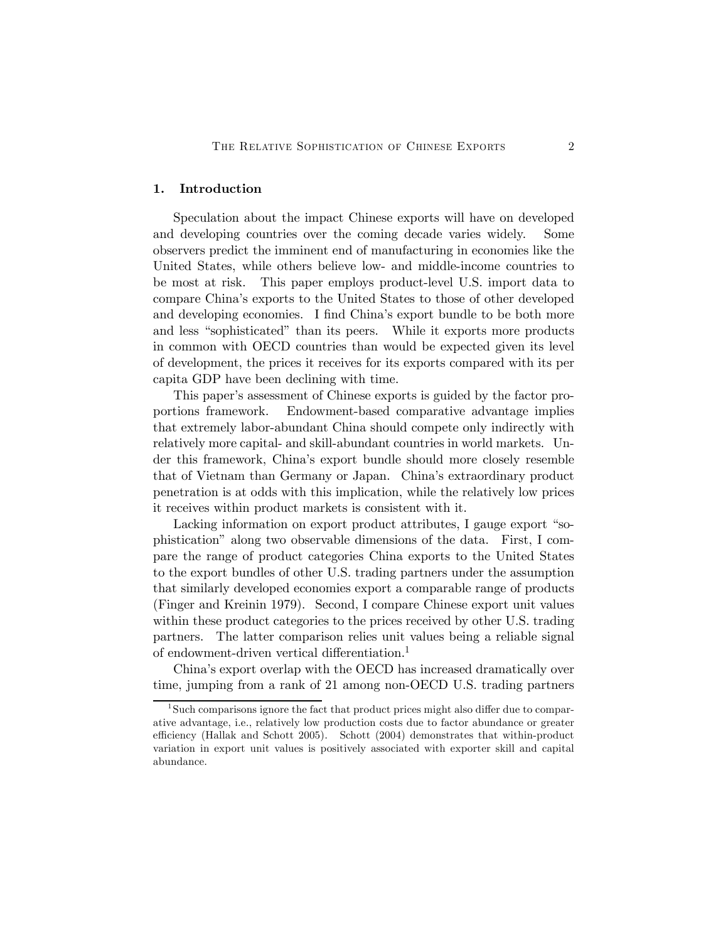## 1. Introduction

Speculation about the impact Chinese exports will have on developed and developing countries over the coming decade varies widely. Some observers predict the imminent end of manufacturing in economies like the United States, while others believe low- and middle-income countries to be most at risk. This paper employs product-level U.S. import data to compare China's exports to the United States to those of other developed and developing economies. I find China's export bundle to be both more and less "sophisticated" than its peers. While it exports more products in common with OECD countries than would be expected given its level of development, the prices it receives for its exports compared with its per capita GDP have been declining with time.

This paper's assessment of Chinese exports is guided by the factor proportions framework. Endowment-based comparative advantage implies that extremely labor-abundant China should compete only indirectly with relatively more capital- and skill-abundant countries in world markets. Under this framework, China's export bundle should more closely resemble that of Vietnam than Germany or Japan. China's extraordinary product penetration is at odds with this implication, while the relatively low prices it receives within product markets is consistent with it.

Lacking information on export product attributes, I gauge export "sophistication" along two observable dimensions of the data. First, I compare the range of product categories China exports to the United States to the export bundles of other U.S. trading partners under the assumption that similarly developed economies export a comparable range of products (Finger and Kreinin 1979). Second, I compare Chinese export unit values within these product categories to the prices received by other U.S. trading partners. The latter comparison relies unit values being a reliable signal of endowment-driven vertical differentiation.<sup>1</sup>

China's export overlap with the OECD has increased dramatically over time, jumping from a rank of 21 among non-OECD U.S. trading partners

 $1$ Such comparisons ignore the fact that product prices might also differ due to comparative advantage, i.e., relatively low production costs due to factor abundance or greater efficiency (Hallak and Schott 2005). Schott (2004) demonstrates that within-product variation in export unit values is positively associated with exporter skill and capital abundance.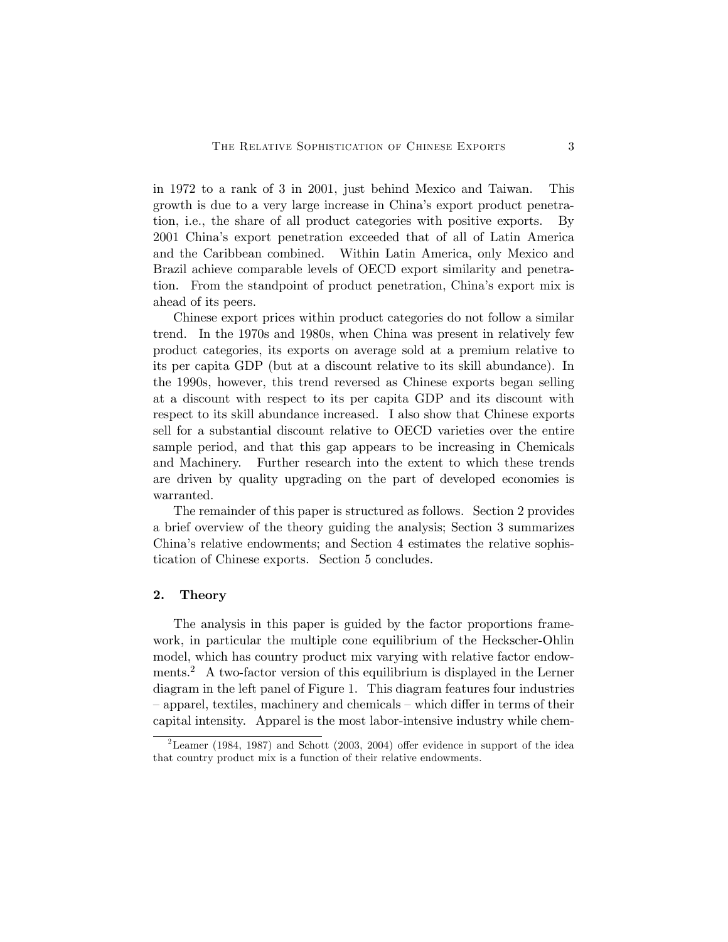in 1972 to a rank of 3 in 2001, just behind Mexico and Taiwan. This growth is due to a very large increase in China's export product penetration, i.e., the share of all product categories with positive exports. By 2001 China's export penetration exceeded that of all of Latin America and the Caribbean combined. Within Latin America, only Mexico and Brazil achieve comparable levels of OECD export similarity and penetration. From the standpoint of product penetration, China's export mix is ahead of its peers.

Chinese export prices within product categories do not follow a similar trend. In the 1970s and 1980s, when China was present in relatively few product categories, its exports on average sold at a premium relative to its per capita GDP (but at a discount relative to its skill abundance). In the 1990s, however, this trend reversed as Chinese exports began selling at a discount with respect to its per capita GDP and its discount with respect to its skill abundance increased. I also show that Chinese exports sell for a substantial discount relative to OECD varieties over the entire sample period, and that this gap appears to be increasing in Chemicals and Machinery. Further research into the extent to which these trends are driven by quality upgrading on the part of developed economies is warranted.

The remainder of this paper is structured as follows. Section 2 provides a brief overview of the theory guiding the analysis; Section 3 summarizes China's relative endowments; and Section 4 estimates the relative sophistication of Chinese exports. Section 5 concludes.

#### 2. Theory

The analysis in this paper is guided by the factor proportions framework, in particular the multiple cone equilibrium of the Heckscher-Ohlin model, which has country product mix varying with relative factor endowments.<sup>2</sup> A two-factor version of this equilibrium is displayed in the Lerner diagram in the left panel of Figure 1. This diagram features four industries — apparel, textiles, machinery and chemicals — which differ in terms of their capital intensity. Apparel is the most labor-intensive industry while chem-

<sup>&</sup>lt;sup>2</sup> Leamer (1984, 1987) and Schott (2003, 2004) offer evidence in support of the idea that country product mix is a function of their relative endowments.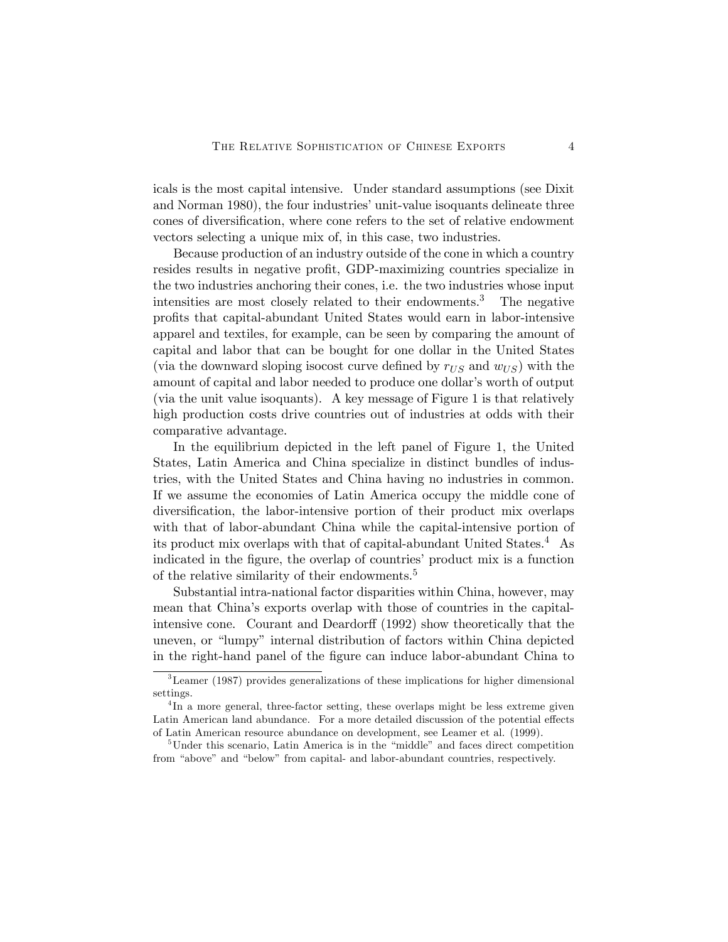icals is the most capital intensive. Under standard assumptions (see Dixit and Norman 1980), the four industries' unit-value isoquants delineate three cones of diversification, where cone refers to the set of relative endowment vectors selecting a unique mix of, in this case, two industries.

Because production of an industry outside of the cone in which a country resides results in negative profit, GDP-maximizing countries specialize in the two industries anchoring their cones, i.e. the two industries whose input intensities are most closely related to their endowments.<sup>3</sup> The negative profits that capital-abundant United States would earn in labor-intensive apparel and textiles, for example, can be seen by comparing the amount of capital and labor that can be bought for one dollar in the United States (via the downward sloping isocost curve defined by  $r_{US}$  and  $w_{US}$ ) with the amount of capital and labor needed to produce one dollar's worth of output (via the unit value isoquants). A key message of Figure 1 is that relatively high production costs drive countries out of industries at odds with their comparative advantage.

In the equilibrium depicted in the left panel of Figure 1, the United States, Latin America and China specialize in distinct bundles of industries, with the United States and China having no industries in common. If we assume the economies of Latin America occupy the middle cone of diversification, the labor-intensive portion of their product mix overlaps with that of labor-abundant China while the capital-intensive portion of its product mix overlaps with that of capital-abundant United States.4 As indicated in the figure, the overlap of countries' product mix is a function of the relative similarity of their endowments.<sup>5</sup>

Substantial intra-national factor disparities within China, however, may mean that China's exports overlap with those of countries in the capitalintensive cone. Courant and Deardorff (1992) show theoretically that the uneven, or "lumpy" internal distribution of factors within China depicted in the right-hand panel of the figure can induce labor-abundant China to

<sup>3</sup>Leamer (1987) provides generalizations of these implications for higher dimensional settings.

<sup>&</sup>lt;sup>4</sup>In a more general, three-factor setting, these overlaps might be less extreme given Latin American land abundance. For a more detailed discussion of the potential effects of Latin American resource abundance on development, see Leamer et al. (1999).

<sup>&</sup>lt;sup>5</sup>Under this scenario, Latin America is in the "middle" and faces direct competition from "above" and "below" from capital- and labor-abundant countries, respectively.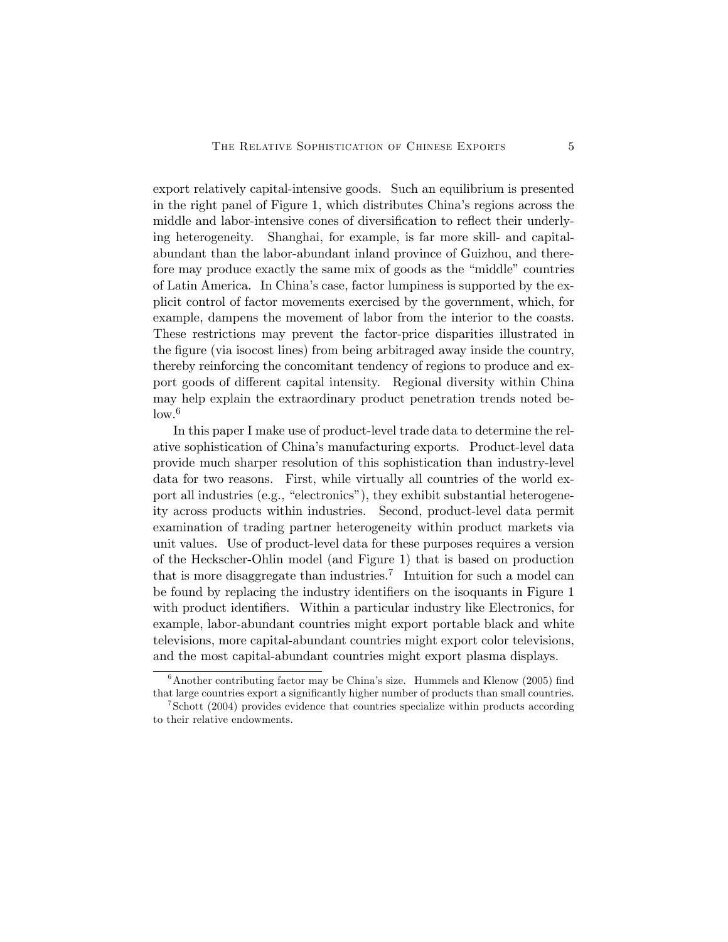export relatively capital-intensive goods. Such an equilibrium is presented in the right panel of Figure 1, which distributes China's regions across the middle and labor-intensive cones of diversification to reflect their underlying heterogeneity. Shanghai, for example, is far more skill- and capitalabundant than the labor-abundant inland province of Guizhou, and therefore may produce exactly the same mix of goods as the "middle" countries of Latin America. In China's case, factor lumpiness is supported by the explicit control of factor movements exercised by the government, which, for example, dampens the movement of labor from the interior to the coasts. These restrictions may prevent the factor-price disparities illustrated in the figure (via isocost lines) from being arbitraged away inside the country, thereby reinforcing the concomitant tendency of regions to produce and export goods of different capital intensity. Regional diversity within China may help explain the extraordinary product penetration trends noted be $low.<sup>6</sup>$ 

In this paper I make use of product-level trade data to determine the relative sophistication of China's manufacturing exports. Product-level data provide much sharper resolution of this sophistication than industry-level data for two reasons. First, while virtually all countries of the world export all industries (e.g., "electronics"), they exhibit substantial heterogeneity across products within industries. Second, product-level data permit examination of trading partner heterogeneity within product markets via unit values. Use of product-level data for these purposes requires a version of the Heckscher-Ohlin model (and Figure 1) that is based on production that is more disaggregate than industries.<sup>7</sup> Intuition for such a model can be found by replacing the industry identifiers on the isoquants in Figure 1 with product identifiers. Within a particular industry like Electronics, for example, labor-abundant countries might export portable black and white televisions, more capital-abundant countries might export color televisions, and the most capital-abundant countries might export plasma displays.

 $6$ Another contributing factor may be China's size. Hummels and Klenow (2005) find that large countries export a significantly higher number of products than small countries.

<sup>7</sup>Schott (2004) provides evidence that countries specialize within products according to their relative endowments.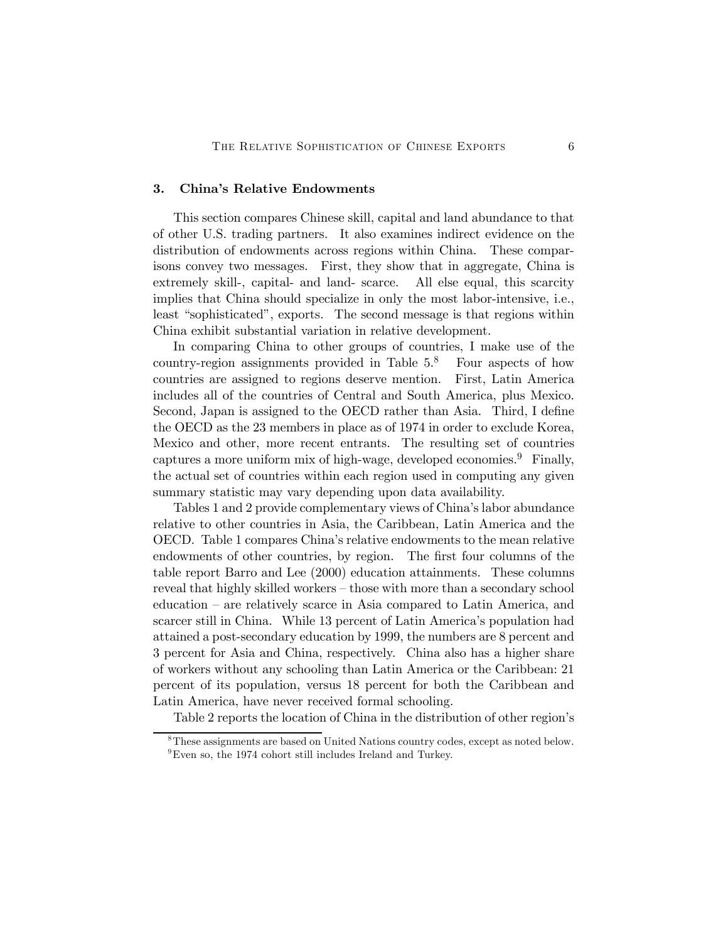## 3. China's Relative Endowments

This section compares Chinese skill, capital and land abundance to that of other U.S. trading partners. It also examines indirect evidence on the distribution of endowments across regions within China. These comparisons convey two messages. First, they show that in aggregate, China is extremely skill-, capital- and land- scarce. All else equal, this scarcity implies that China should specialize in only the most labor-intensive, i.e., least "sophisticated", exports. The second message is that regions within China exhibit substantial variation in relative development.

In comparing China to other groups of countries, I make use of the country-region assignments provided in Table  $5<sup>8</sup>$  Four aspects of how countries are assigned to regions deserve mention. First, Latin America includes all of the countries of Central and South America, plus Mexico. Second, Japan is assigned to the OECD rather than Asia. Third, I define the OECD as the 23 members in place as of 1974 in order to exclude Korea, Mexico and other, more recent entrants. The resulting set of countries captures a more uniform mix of high-wage, developed economies.<sup>9</sup> Finally, the actual set of countries within each region used in computing any given summary statistic may vary depending upon data availability.

Tables 1 and 2 provide complementary views of China's labor abundance relative to other countries in Asia, the Caribbean, Latin America and the OECD. Table 1 compares China's relative endowments to the mean relative endowments of other countries, by region. The first four columns of the table report Barro and Lee (2000) education attainments. These columns reveal that highly skilled workers — those with more than a secondary school education — are relatively scarce in Asia compared to Latin America, and scarcer still in China. While 13 percent of Latin America's population had attained a post-secondary education by 1999, the numbers are 8 percent and 3 percent for Asia and China, respectively. China also has a higher share of workers without any schooling than Latin America or the Caribbean: 21 percent of its population, versus 18 percent for both the Caribbean and Latin America, have never received formal schooling.

Table 2 reports the location of China in the distribution of other region's

<sup>8</sup>These assignments are based on United Nations country codes, except as noted below.  $^{9}$ Even so, the 1974 cohort still includes Ireland and Turkey.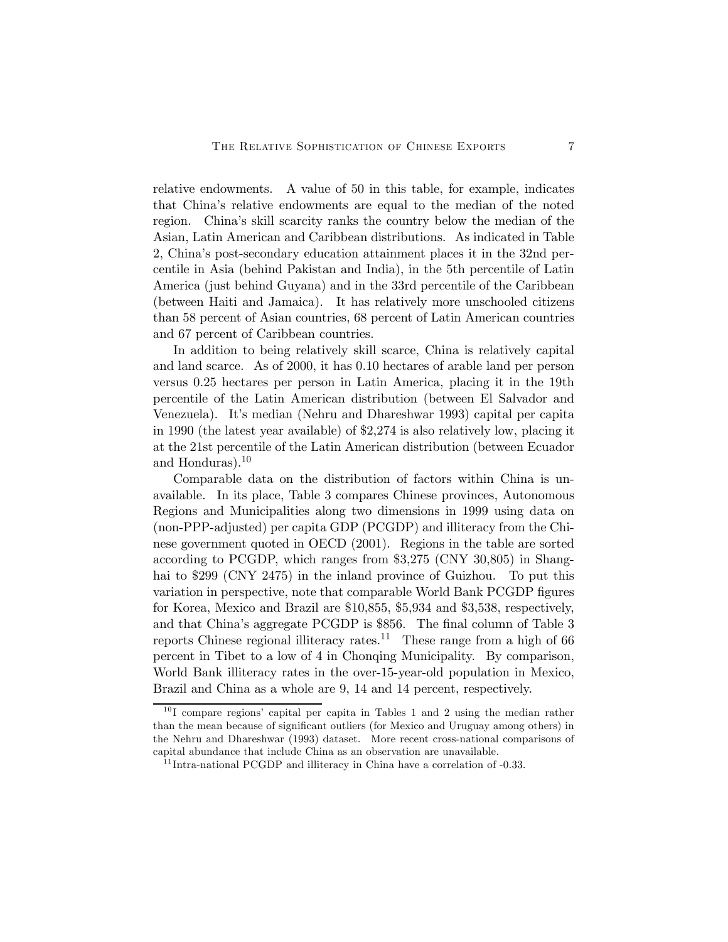relative endowments. A value of 50 in this table, for example, indicates that China's relative endowments are equal to the median of the noted region. China's skill scarcity ranks the country below the median of the Asian, Latin American and Caribbean distributions. As indicated in Table 2, China's post-secondary education attainment places it in the 32nd percentile in Asia (behind Pakistan and India), in the 5th percentile of Latin America (just behind Guyana) and in the 33rd percentile of the Caribbean (between Haiti and Jamaica). It has relatively more unschooled citizens than 58 percent of Asian countries, 68 percent of Latin American countries and 67 percent of Caribbean countries.

In addition to being relatively skill scarce, China is relatively capital and land scarce. As of 2000, it has 0.10 hectares of arable land per person versus 0.25 hectares per person in Latin America, placing it in the 19th percentile of the Latin American distribution (between El Salvador and Venezuela). It's median (Nehru and Dhareshwar 1993) capital per capita in 1990 (the latest year available) of \$2,274 is also relatively low, placing it at the 21st percentile of the Latin American distribution (between Ecuador and Honduras).<sup>10</sup>

Comparable data on the distribution of factors within China is unavailable. In its place, Table 3 compares Chinese provinces, Autonomous Regions and Municipalities along two dimensions in 1999 using data on (non-PPP-adjusted) per capita GDP (PCGDP) and illiteracy from the Chinese government quoted in OECD (2001). Regions in the table are sorted according to PCGDP, which ranges from \$3,275 (CNY 30,805) in Shanghai to \$299 (CNY 2475) in the inland province of Guizhou. To put this variation in perspective, note that comparable World Bank PCGDP figures for Korea, Mexico and Brazil are \$10,855, \$5,934 and \$3,538, respectively, and that China's aggregate PCGDP is \$856. The final column of Table 3 reports Chinese regional illiteracy rates.<sup>11</sup> These range from a high of 66 percent in Tibet to a low of 4 in Chonqing Municipality. By comparison, World Bank illiteracy rates in the over-15-year-old population in Mexico, Brazil and China as a whole are 9, 14 and 14 percent, respectively.

 $10$  I compare regions' capital per capita in Tables 1 and 2 using the median rather than the mean because of significant outliers (for Mexico and Uruguay among others) in the Nehru and Dhareshwar (1993) dataset. More recent cross-national comparisons of capital abundance that include China as an observation are unavailable.

 $11$ Intra-national PCGDP and illiteracy in China have a correlation of  $-0.33$ .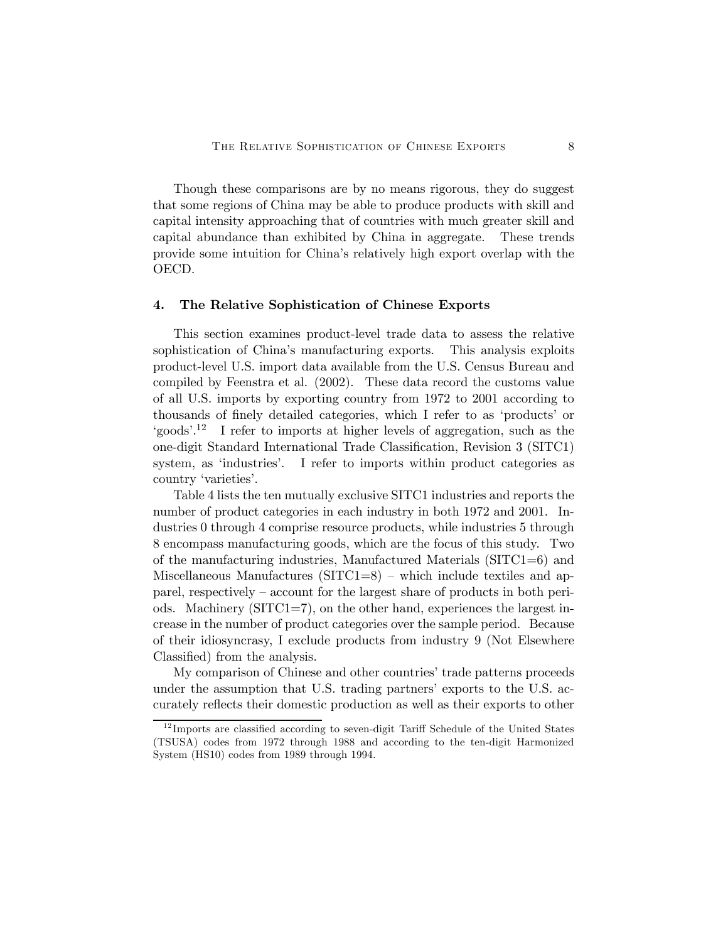Though these comparisons are by no means rigorous, they do suggest that some regions of China may be able to produce products with skill and capital intensity approaching that of countries with much greater skill and capital abundance than exhibited by China in aggregate. These trends provide some intuition for China's relatively high export overlap with the OECD.

#### 4. The Relative Sophistication of Chinese Exports

This section examines product-level trade data to assess the relative sophistication of China's manufacturing exports. This analysis exploits product-level U.S. import data available from the U.S. Census Bureau and compiled by Feenstra et al. (2002). These data record the customs value of all U.S. imports by exporting country from 1972 to 2001 according to thousands of finely detailed categories, which I refer to as 'products' or 'goods'.12 I refer to imports at higher levels of aggregation, such as the one-digit Standard International Trade Classification, Revision 3 (SITC1) system, as 'industries'. I refer to imports within product categories as country 'varieties'.

Table 4 lists the ten mutually exclusive SITC1 industries and reports the number of product categories in each industry in both 1972 and 2001. Industries 0 through 4 comprise resource products, while industries 5 through 8 encompass manufacturing goods, which are the focus of this study. Two of the manufacturing industries, Manufactured Materials (SITC1=6) and Miscellaneous Manufactures  $(SITC1=8)$  – which include textiles and apparel, respectively — account for the largest share of products in both periods. Machinery (SITC1=7), on the other hand, experiences the largest increase in the number of product categories over the sample period. Because of their idiosyncrasy, I exclude products from industry 9 (Not Elsewhere Classified) from the analysis.

My comparison of Chinese and other countries' trade patterns proceeds under the assumption that U.S. trading partners' exports to the U.S. accurately reflects their domestic production as well as their exports to other

 $12$  Imports are classified according to seven-digit Tariff Schedule of the United States (TSUSA) codes from 1972 through 1988 and according to the ten-digit Harmonized System (HS10) codes from 1989 through 1994.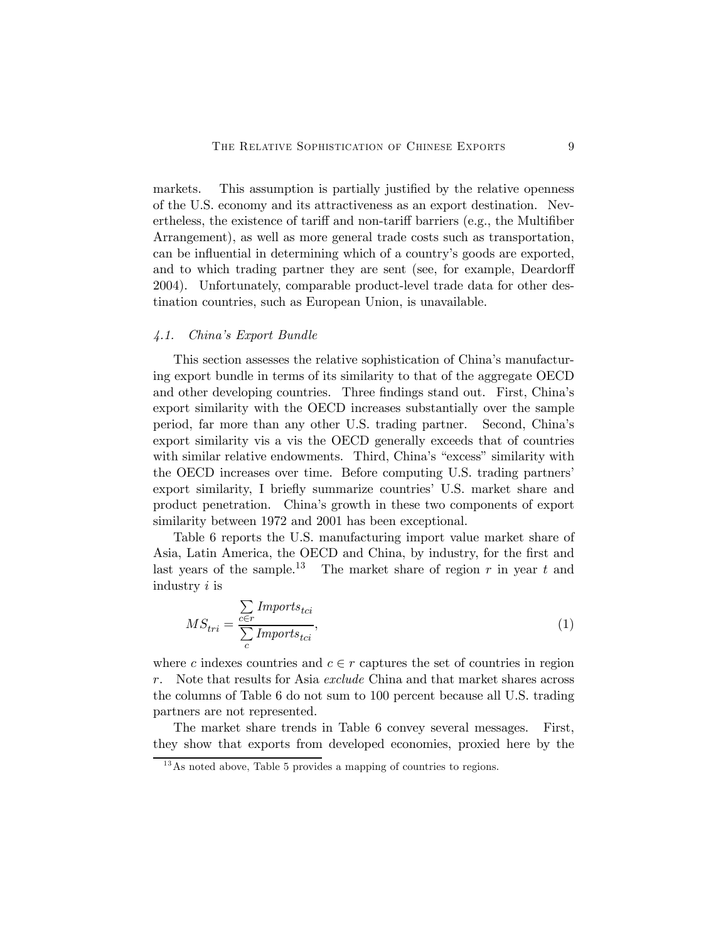markets. This assumption is partially justified by the relative openness of the U.S. economy and its attractiveness as an export destination. Nevertheless, the existence of tariff and non-tariff barriers (e.g., the Multifiber Arrangement), as well as more general trade costs such as transportation, can be influential in determining which of a country's goods are exported, and to which trading partner they are sent (see, for example, Deardorff 2004). Unfortunately, comparable product-level trade data for other destination countries, such as European Union, is unavailable.

#### 4.1. China's Export Bundle

This section assesses the relative sophistication of China's manufacturing export bundle in terms of its similarity to that of the aggregate OECD and other developing countries. Three findings stand out. First, China's export similarity with the OECD increases substantially over the sample period, far more than any other U.S. trading partner. Second, China's export similarity vis a vis the OECD generally exceeds that of countries with similar relative endowments. Third, China's "excess" similarity with the OECD increases over time. Before computing U.S. trading partners' export similarity, I briefly summarize countries' U.S. market share and product penetration. China's growth in these two components of export similarity between 1972 and 2001 has been exceptional.

Table 6 reports the U.S. manufacturing import value market share of Asia, Latin America, the OECD and China, by industry, for the first and last years of the sample.<sup>13</sup> The market share of region  $r$  in year  $t$  and industry i is

$$
MS_{tri} = \frac{\sum_{c \in r} \text{Imports}_{tci}}{\sum_{c} \text{Imports}_{tci}},\tag{1}
$$

where c indexes countries and  $c \in r$  captures the set of countries in region r. Note that results for Asia exclude China and that market shares across the columns of Table 6 do not sum to 100 percent because all U.S. trading partners are not represented.

The market share trends in Table 6 convey several messages. First, they show that exports from developed economies, proxied here by the

 $13$ As noted above, Table 5 provides a mapping of countries to regions.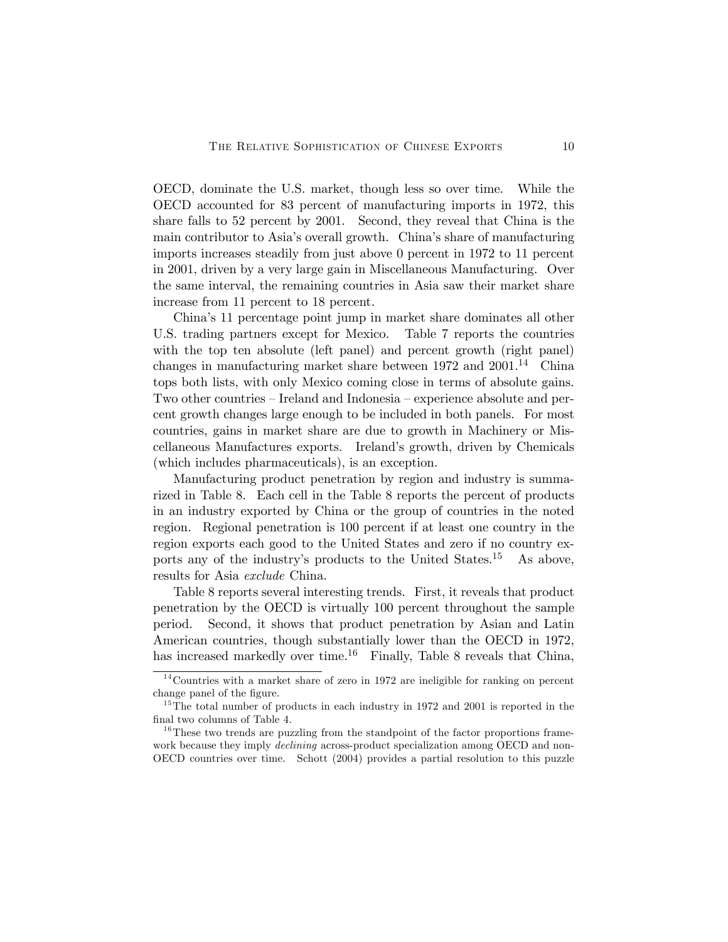OECD, dominate the U.S. market, though less so over time. While the OECD accounted for 83 percent of manufacturing imports in 1972, this share falls to 52 percent by 2001. Second, they reveal that China is the main contributor to Asia's overall growth. China's share of manufacturing imports increases steadily from just above 0 percent in 1972 to 11 percent in 2001, driven by a very large gain in Miscellaneous Manufacturing. Over the same interval, the remaining countries in Asia saw their market share increase from 11 percent to 18 percent.

China's 11 percentage point jump in market share dominates all other U.S. trading partners except for Mexico. Table 7 reports the countries with the top ten absolute (left panel) and percent growth (right panel) changes in manufacturing market share between  $1972$  and  $2001<sup>14</sup>$  China tops both lists, with only Mexico coming close in terms of absolute gains. Two other countries — Ireland and Indonesia — experience absolute and percent growth changes large enough to be included in both panels. For most countries, gains in market share are due to growth in Machinery or Miscellaneous Manufactures exports. Ireland's growth, driven by Chemicals (which includes pharmaceuticals), is an exception.

Manufacturing product penetration by region and industry is summarized in Table 8. Each cell in the Table 8 reports the percent of products in an industry exported by China or the group of countries in the noted region. Regional penetration is 100 percent if at least one country in the region exports each good to the United States and zero if no country exports any of the industry's products to the United States.15 As above, results for Asia exclude China.

Table 8 reports several interesting trends. First, it reveals that product penetration by the OECD is virtually 100 percent throughout the sample period. Second, it shows that product penetration by Asian and Latin American countries, though substantially lower than the OECD in 1972, has increased markedly over time.<sup>16</sup> Finally, Table 8 reveals that China,

 $14$ Countries with a market share of zero in 1972 are ineligible for ranking on percent change panel of the figure.

 $15$ The total number of products in each industry in 1972 and 2001 is reported in the final two columns of Table 4.

 $16$ <sup>16</sup>These two trends are puzzling from the standpoint of the factor proportions framework because they imply *declining* across-product specialization among OECD and non-OECD countries over time. Schott (2004) provides a partial resolution to this puzzle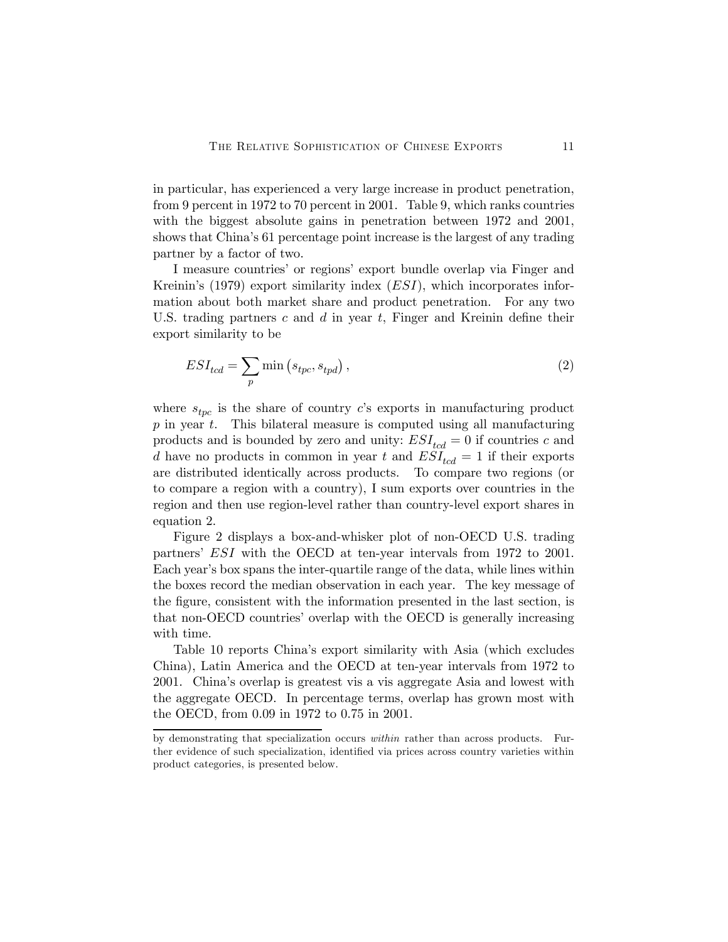in particular, has experienced a very large increase in product penetration, from 9 percent in 1972 to 70 percent in 2001. Table 9, which ranks countries with the biggest absolute gains in penetration between 1972 and 2001, shows that China's 61 percentage point increase is the largest of any trading partner by a factor of two.

I measure countries' or regions' export bundle overlap via Finger and Kreinin's  $(1979)$  export similarity index  $(ESI)$ , which incorporates information about both market share and product penetration. For any two U.S. trading partners  $c$  and  $d$  in year  $t$ , Finger and Kreinin define their export similarity to be

$$
ESI_{tcd} = \sum_{p} \min\left(s_{tpc}, s_{tpd}\right),\tag{2}
$$

where  $s_{tyc}$  is the share of country c's exports in manufacturing product  $p$  in year  $t$ . This bilateral measure is computed using all manufacturing products and is bounded by zero and unity:  $ESI_{tcd} = 0$  if countries c and d have no products in common in year t and  $ESI_{tcd} = 1$  if their exports are distributed identically across products. To compare two regions (or to compare a region with a country), I sum exports over countries in the region and then use region-level rather than country-level export shares in equation 2.

Figure 2 displays a box-and-whisker plot of non-OECD U.S. trading partners' ESI with the OECD at ten-year intervals from 1972 to 2001. Each year's box spans the inter-quartile range of the data, while lines within the boxes record the median observation in each year. The key message of the figure, consistent with the information presented in the last section, is that non-OECD countries' overlap with the OECD is generally increasing with time.

Table 10 reports China's export similarity with Asia (which excludes China), Latin America and the OECD at ten-year intervals from 1972 to 2001. China's overlap is greatest vis a vis aggregate Asia and lowest with the aggregate OECD. In percentage terms, overlap has grown most with the OECD, from 0.09 in 1972 to 0.75 in 2001.

by demonstrating that specialization occurs within rather than across products. Further evidence of such specialization, identified via prices across country varieties within product categories, is presented below.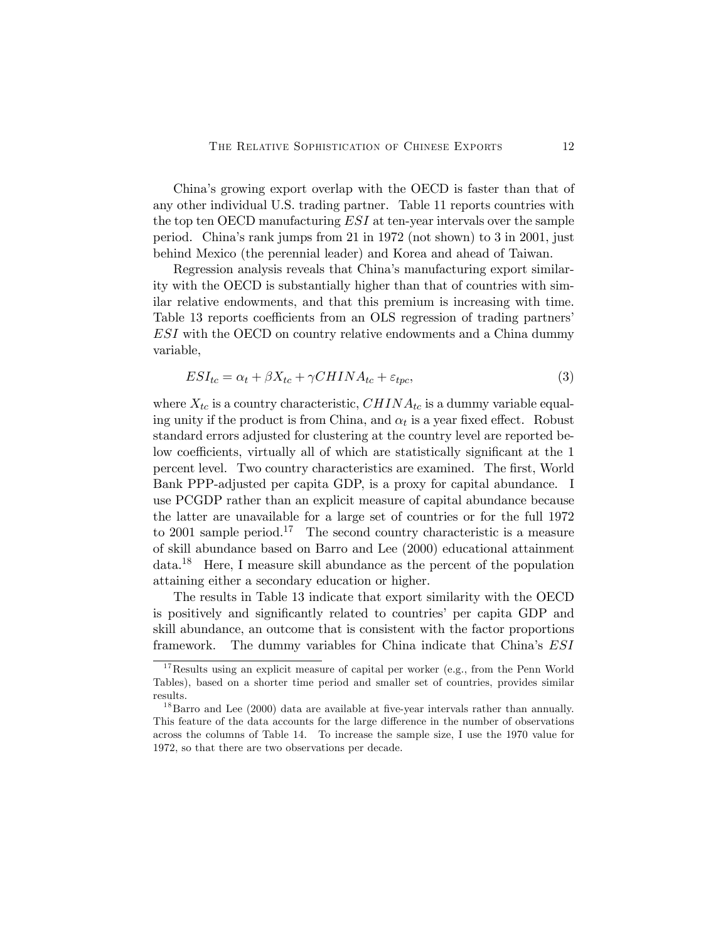China's growing export overlap with the OECD is faster than that of any other individual U.S. trading partner. Table 11 reports countries with the top ten OECD manufacturing ESI at ten-year intervals over the sample period. China's rank jumps from 21 in 1972 (not shown) to 3 in 2001, just behind Mexico (the perennial leader) and Korea and ahead of Taiwan.

Regression analysis reveals that China's manufacturing export similarity with the OECD is substantially higher than that of countries with similar relative endowments, and that this premium is increasing with time. Table 13 reports coefficients from an OLS regression of trading partners' ESI with the OECD on country relative endowments and a China dummy variable,

$$
ESI_{tc} = \alpha_t + \beta X_{tc} + \gamma CHINA_{tc} + \varepsilon_{tpc},\tag{3}
$$

where  $X_{tc}$  is a country characteristic,  $CHINA_{tc}$  is a dummy variable equaling unity if the product is from China, and  $\alpha_t$  is a year fixed effect. Robust standard errors adjusted for clustering at the country level are reported below coefficients, virtually all of which are statistically significant at the 1 percent level. Two country characteristics are examined. The first, World Bank PPP-adjusted per capita GDP, is a proxy for capital abundance. I use PCGDP rather than an explicit measure of capital abundance because the latter are unavailable for a large set of countries or for the full 1972 to 2001 sample period.<sup>17</sup> The second country characteristic is a measure of skill abundance based on Barro and Lee (2000) educational attainment data.18 Here, I measure skill abundance as the percent of the population attaining either a secondary education or higher.

The results in Table 13 indicate that export similarity with the OECD is positively and significantly related to countries' per capita GDP and skill abundance, an outcome that is consistent with the factor proportions framework. The dummy variables for China indicate that China's ESI

 $17$ Results using an explicit measure of capital per worker (e.g., from the Penn World Tables), based on a shorter time period and smaller set of countries, provides similar results.

 $^{18}$ Barro and Lee (2000) data are available at five-year intervals rather than annually. This feature of the data accounts for the large difference in the number of observations across the columns of Table 14. To increase the sample size, I use the 1970 value for 1972, so that there are two observations per decade.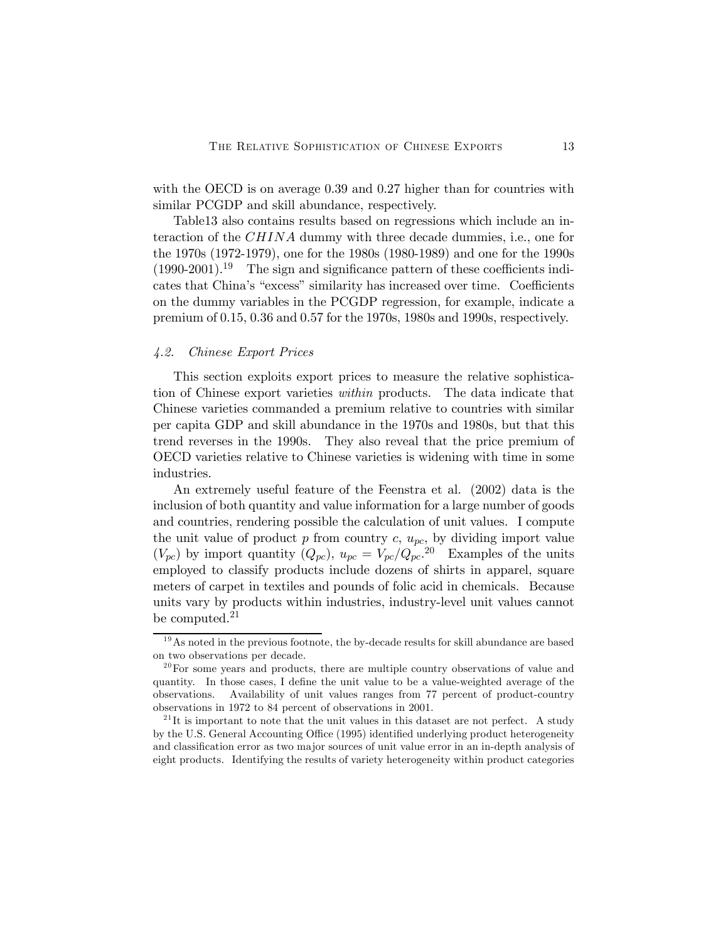with the OECD is on average 0.39 and 0.27 higher than for countries with similar PCGDP and skill abundance, respectively.

Table13 also contains results based on regressions which include an interaction of the CHINA dummy with three decade dummies, i.e., one for the 1970s (1972-1979), one for the 1980s (1980-1989) and one for the 1990s  $(1990-2001).$ <sup>19</sup> The sign and significance pattern of these coefficients indicates that China's "excess" similarity has increased over time. Coefficients on the dummy variables in the PCGDP regression, for example, indicate a premium of 0.15, 0.36 and 0.57 for the 1970s, 1980s and 1990s, respectively.

## 4.2. Chinese Export Prices

This section exploits export prices to measure the relative sophistication of Chinese export varieties within products. The data indicate that Chinese varieties commanded a premium relative to countries with similar per capita GDP and skill abundance in the 1970s and 1980s, but that this trend reverses in the 1990s. They also reveal that the price premium of OECD varieties relative to Chinese varieties is widening with time in some industries.

An extremely useful feature of the Feenstra et al. (2002) data is the inclusion of both quantity and value information for a large number of goods and countries, rendering possible the calculation of unit values. I compute the unit value of product  $p$  from country  $c, u_{pc}$ , by dividing import value  $(V_{pc})$  by import quantity  $(Q_{pc})$ ,  $u_{pc} = V_{pc}/Q_{pc}^{20}$ . Examples of the units employed to classify products include dozens of shirts in apparel, square meters of carpet in textiles and pounds of folic acid in chemicals. Because units vary by products within industries, industry-level unit values cannot be computed.<sup>21</sup>

 $19$ As noted in the previous footnote, the by-decade results for skill abundance are based on two observations per decade.

 $20$  For some years and products, there are multiple country observations of value and quantity. In those cases, I define the unit value to be a value-weighted average of the observations. Availability of unit values ranges from 77 percent of product-country observations in 1972 to 84 percent of observations in 2001.

 $2<sup>1</sup>$ It is important to note that the unit values in this dataset are not perfect. A study by the U.S. General Accounting Office (1995) identified underlying product heterogeneity and classification error as two major sources of unit value error in an in-depth analysis of eight products. Identifying the results of variety heterogeneity within product categories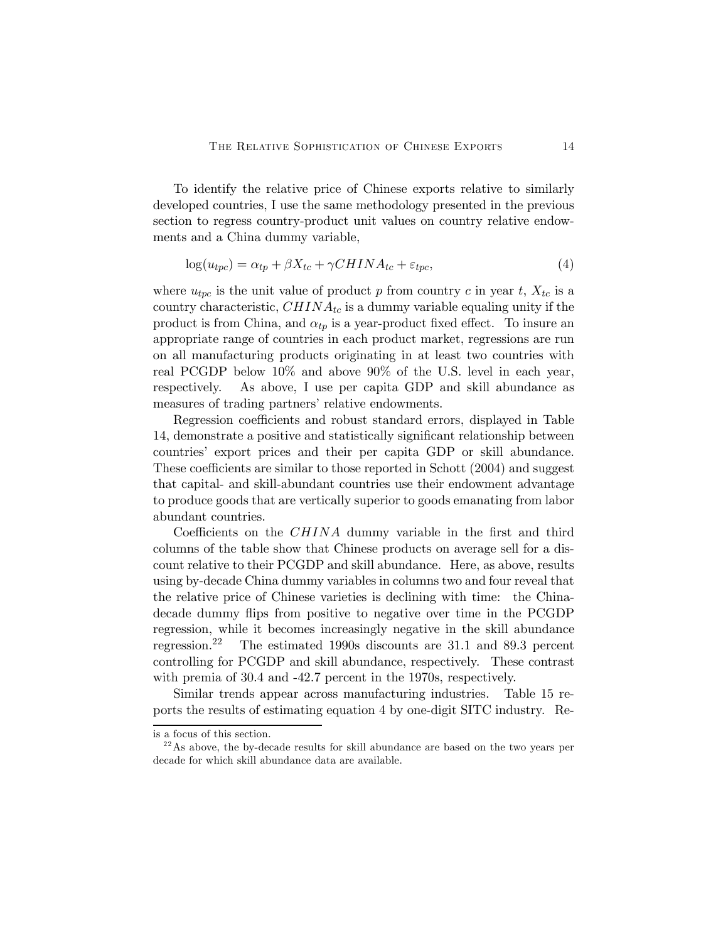To identify the relative price of Chinese exports relative to similarly developed countries, I use the same methodology presented in the previous section to regress country-product unit values on country relative endowments and a China dummy variable,

$$
log(u_{tpc}) = \alpha_{tp} + \beta X_{tc} + \gamma CHINA_{tc} + \varepsilon_{tpc}, \qquad (4)
$$

where  $u_{tpc}$  is the unit value of product p from country c in year t,  $X_{tc}$  is a country characteristic,  $CHINA_{tc}$  is a dummy variable equaling unity if the product is from China, and  $\alpha_{tp}$  is a year-product fixed effect. To insure an appropriate range of countries in each product market, regressions are run on all manufacturing products originating in at least two countries with real PCGDP below 10% and above 90% of the U.S. level in each year, respectively. As above, I use per capita GDP and skill abundance as measures of trading partners' relative endowments.

Regression coefficients and robust standard errors, displayed in Table 14, demonstrate a positive and statistically significant relationship between countries' export prices and their per capita GDP or skill abundance. These coefficients are similar to those reported in Schott (2004) and suggest that capital- and skill-abundant countries use their endowment advantage to produce goods that are vertically superior to goods emanating from labor abundant countries.

Coefficients on the CHINA dummy variable in the first and third columns of the table show that Chinese products on average sell for a discount relative to their PCGDP and skill abundance. Here, as above, results using by-decade China dummy variables in columns two and four reveal that the relative price of Chinese varieties is declining with time: the Chinadecade dummy flips from positive to negative over time in the PCGDP regression, while it becomes increasingly negative in the skill abundance regression.22 The estimated 1990s discounts are 31.1 and 89.3 percent controlling for PCGDP and skill abundance, respectively. These contrast with premia of 30.4 and -42.7 percent in the 1970s, respectively.

Similar trends appear across manufacturing industries. Table 15 reports the results of estimating equation 4 by one-digit SITC industry. Re-

is a focus of this section.

<sup>&</sup>lt;sup>22</sup> As above, the by-decade results for skill abundance are based on the two years per decade for which skill abundance data are available.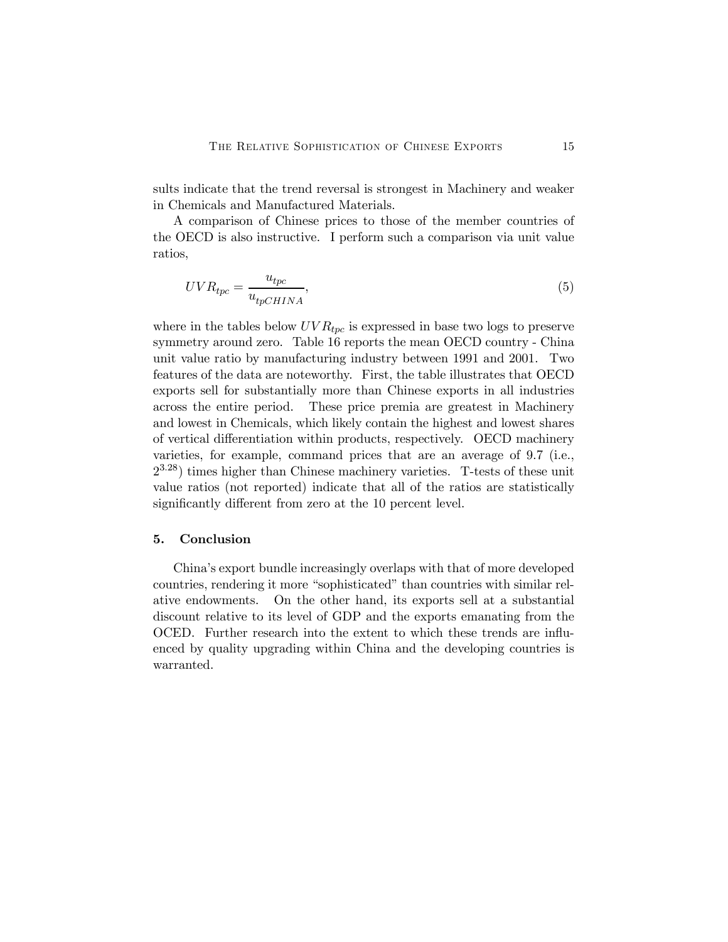sults indicate that the trend reversal is strongest in Machinery and weaker in Chemicals and Manufactured Materials.

A comparison of Chinese prices to those of the member countries of the OECD is also instructive. I perform such a comparison via unit value ratios,

$$
UVR_{tpc} = \frac{u_{tpc}}{u_{tpCHINA}},\tag{5}
$$

where in the tables below  $UVR_{tpc}$  is expressed in base two logs to preserve symmetry around zero. Table 16 reports the mean OECD country - China unit value ratio by manufacturing industry between 1991 and 2001. Two features of the data are noteworthy. First, the table illustrates that OECD exports sell for substantially more than Chinese exports in all industries across the entire period. These price premia are greatest in Machinery and lowest in Chemicals, which likely contain the highest and lowest shares of vertical differentiation within products, respectively. OECD machinery varieties, for example, command prices that are an average of 9.7 (i.e.,  $2^{3.28}$ ) times higher than Chinese machinery varieties. T-tests of these unit value ratios (not reported) indicate that all of the ratios are statistically significantly different from zero at the 10 percent level.

#### 5. Conclusion

China's export bundle increasingly overlaps with that of more developed countries, rendering it more "sophisticated" than countries with similar relative endowments. On the other hand, its exports sell at a substantial discount relative to its level of GDP and the exports emanating from the OCED. Further research into the extent to which these trends are influenced by quality upgrading within China and the developing countries is warranted.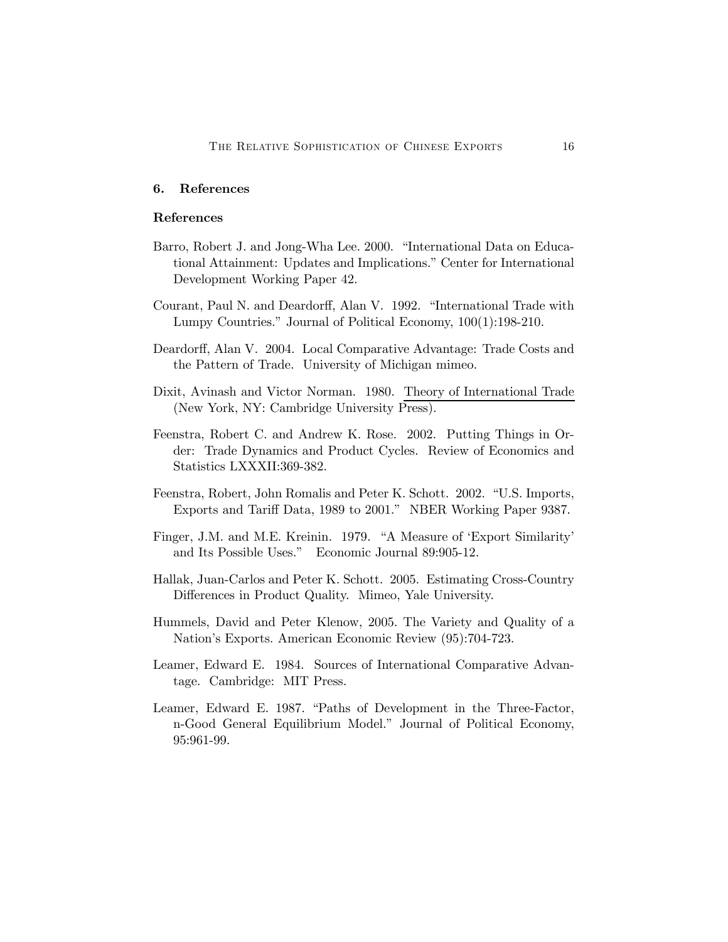## 6. References

#### References

- Barro, Robert J. and Jong-Wha Lee. 2000. "International Data on Educational Attainment: Updates and Implications." Center for International Development Working Paper 42.
- Courant, Paul N. and Deardorff, Alan V. 1992. "International Trade with Lumpy Countries." Journal of Political Economy, 100(1):198-210.
- Deardorff, Alan V. 2004. Local Comparative Advantage: Trade Costs and the Pattern of Trade. University of Michigan mimeo.
- Dixit, Avinash and Victor Norman. 1980. Theory of International Trade (New York, NY: Cambridge University Press).
- Feenstra, Robert C. and Andrew K. Rose. 2002. Putting Things in Order: Trade Dynamics and Product Cycles. Review of Economics and Statistics LXXXII:369-382.
- Feenstra, Robert, John Romalis and Peter K. Schott. 2002. "U.S. Imports, Exports and Tariff Data, 1989 to 2001." NBER Working Paper 9387.
- Finger, J.M. and M.E. Kreinin. 1979. "A Measure of 'Export Similarity' and Its Possible Uses." Economic Journal 89:905-12.
- Hallak, Juan-Carlos and Peter K. Schott. 2005. Estimating Cross-Country Differences in Product Quality. Mimeo, Yale University.
- Hummels, David and Peter Klenow, 2005. The Variety and Quality of a Nation's Exports. American Economic Review (95):704-723.
- Leamer, Edward E. 1984. Sources of International Comparative Advantage. Cambridge: MIT Press.
- Leamer, Edward E. 1987. "Paths of Development in the Three-Factor, n-Good General Equilibrium Model." Journal of Political Economy, 95:961-99.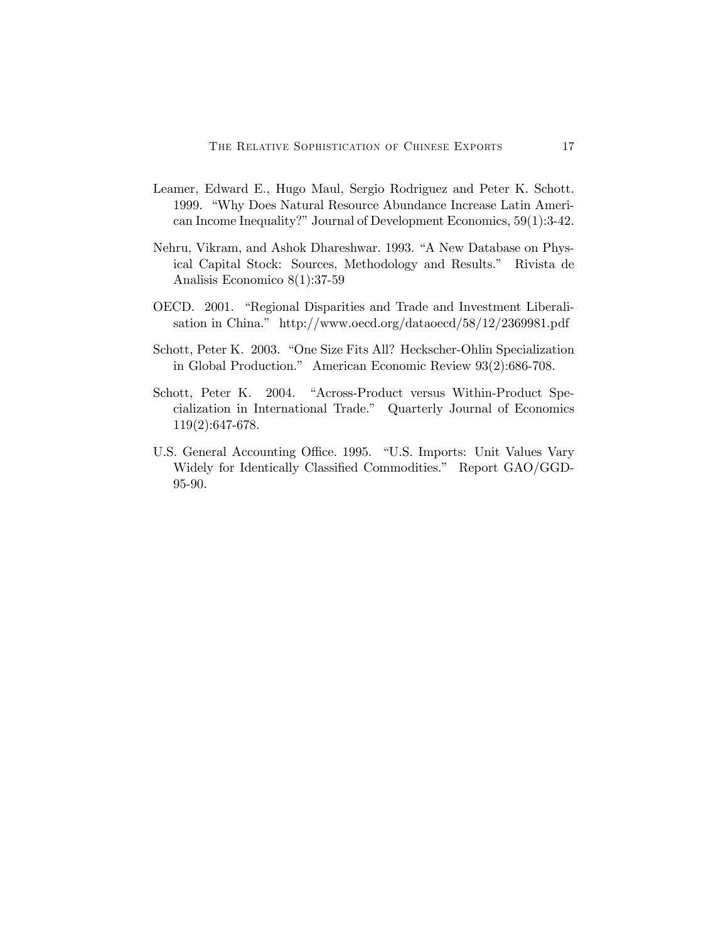- Leamer, Edward E., Hugo Maul, Sergio Rodriguez and Peter K. Schott. 1999. "Why Does Natural Resource Abundance Increase Latin American Income Inequality?" Journal of Development Economics, 59(1):3-42.
- Nehru, Vikram, and Ashok Dhareshwar. 1993. "A New Database on Physical Capital Stock: Sources, Methodology and Results." Rivista de Analisis Economico 8(1):37-59
- OECD. 2001. "Regional Disparities and Trade and Investment Liberalisation in China." http://www.oecd.org/dataoecd/58/12/2369981.pdf
- Schott, Peter K. 2003. "One Size Fits All? Heckscher-Ohlin Specialization in Global Production." American Economic Review 93(2):686-708.
- Schott, Peter K. 2004. "Across-Product versus Within-Product Specialization in International Trade." Quarterly Journal of Economics 119(2):647-678.
- U.S. General Accounting Office. 1995. "U.S. Imports: Unit Values Vary Widely for Identically Classified Commodities." Report GAO/GGD-95-90.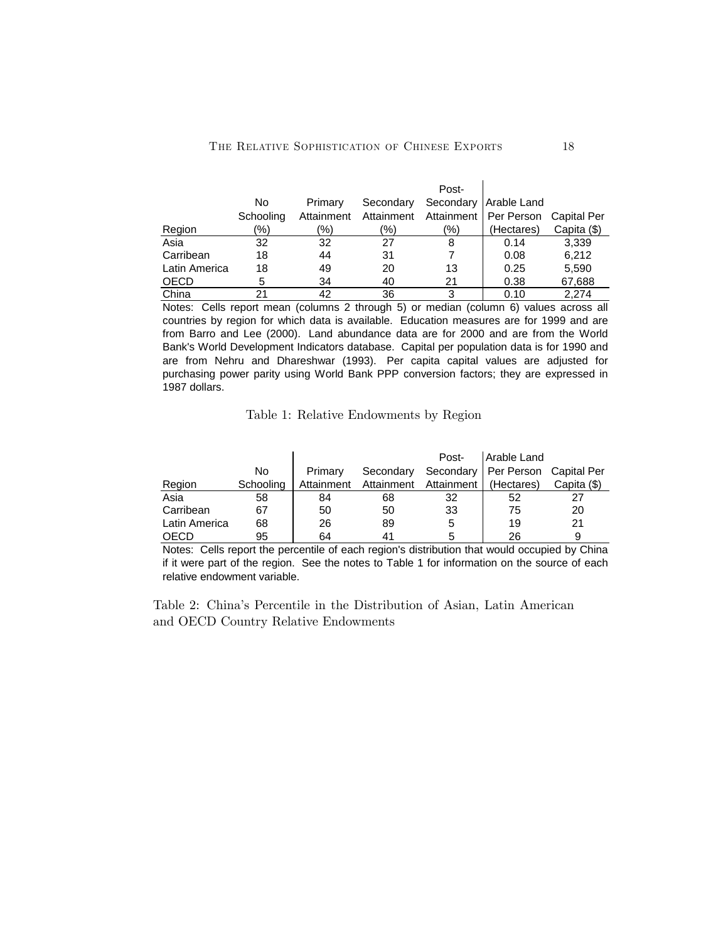|               |           |            |           | Post- |                                                |             |
|---------------|-----------|------------|-----------|-------|------------------------------------------------|-------------|
|               | No        | Primary    | Secondary |       | Secondary   Arable Land                        |             |
|               | Schooling | Attainment |           |       | Attainment Attainment   Per Person Capital Per |             |
| Region        | (%)       | (%)        | (%)       | (9/0) | (Hectares)                                     | Capita (\$) |
| Asia          | 32        | 32         | 27        | 8     | 0.14                                           | 3,339       |
| Carribean     | 18        | 44         | 31        |       | 0.08                                           | 6,212       |
| Latin America | 18        | 49         | 20        | 13    | 0.25                                           | 5,590       |
| <b>OECD</b>   | 5         | 34         | 40        | 21    | 0.38                                           | 67,688      |
| China         | 21        | 42         | 36        | 3     | 0.10                                           | 2.274       |

Notes: Cells report mean (columns 2 through 5) or median (column 6) values across all countries by region for which data is available. Education measures are for 1999 and are from Barro and Lee (2000). Land abundance data are for 2000 and are from the World Bank's World Development Indicators database. Capital per population data is for 1990 and are from Nehru and Dhareshwar (1993). Per capita capital values are adjusted for purchasing power parity using World Bank PPP conversion factors; they are expressed in 1987 dollars.

Table 1: Relative Endowments by Region

|               |           |            |                                    | Post- | Arable Land                        |             |
|---------------|-----------|------------|------------------------------------|-------|------------------------------------|-------------|
|               | No        | Primary    | Secondary                          |       | Secondary   Per Person Capital Per |             |
| Region        | Schooling | Attainment | Attainment Attainment   (Hectares) |       |                                    | Capita (\$) |
| Asia          | 58        | 84         | 68                                 | 32    | 52                                 | 27          |
| Carribean     | 67        | 50         | 50                                 | 33    | 75                                 | 20          |
| Latin America | 68        | 26         | 89                                 | 5     | 19                                 | 21          |
| OECD          | 95        | 64         |                                    |       | 26                                 |             |

Notes: Cells report the percentile of each region's distribution that would occupied by China if it were part of the region. See the notes to Table 1 for information on the source of each relative endowment variable.

Table 2: China's Percentile in the Distribution of Asian, Latin American and OECD Country Relative Endowments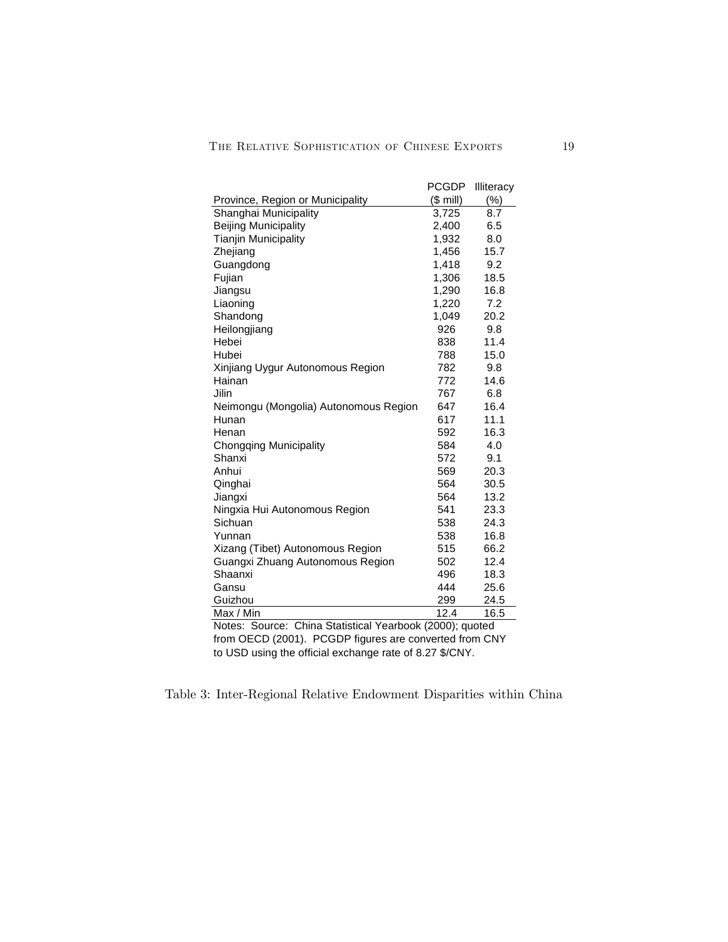|                                                                                                                                                                                                                          | <b>PCGDP</b> | <b>Illiteracy</b> |
|--------------------------------------------------------------------------------------------------------------------------------------------------------------------------------------------------------------------------|--------------|-------------------|
| Province, Region or Municipality                                                                                                                                                                                         | $($$ mill)   | (%)               |
| Shanghai Municipality                                                                                                                                                                                                    | 3,725        | 8.7               |
| <b>Beijing Municipality</b>                                                                                                                                                                                              | 2,400        | 6.5               |
| <b>Tianjin Municipality</b>                                                                                                                                                                                              | 1,932        | 8.0               |
| Zhejiang                                                                                                                                                                                                                 | 1,456        | 15.7              |
| Guangdong                                                                                                                                                                                                                | 1,418        | 9.2               |
| Fujian                                                                                                                                                                                                                   | 1,306        | 18.5              |
| Jiangsu                                                                                                                                                                                                                  | 1,290        | 16.8              |
| Liaoning                                                                                                                                                                                                                 | 1,220        | 7.2               |
| Shandong                                                                                                                                                                                                                 | 1,049        | 20.2              |
| Heilongjiang                                                                                                                                                                                                             | 926          | 9.8               |
| Hebei                                                                                                                                                                                                                    | 838          | 11.4              |
| Hubei                                                                                                                                                                                                                    | 788          | 15.0              |
| Xinjiang Uygur Autonomous Region                                                                                                                                                                                         | 782          | 9.8               |
| Hainan                                                                                                                                                                                                                   | 772          | 14.6              |
| Jilin                                                                                                                                                                                                                    | 767          | 6.8               |
| Neimongu (Mongolia) Autonomous Region                                                                                                                                                                                    | 647          | 16.4              |
| Hunan                                                                                                                                                                                                                    | 617          | 11.1              |
| Henan                                                                                                                                                                                                                    | 592          | 16.3              |
| <b>Chongqing Municipality</b>                                                                                                                                                                                            | 584          | 4.0               |
| Shanxi                                                                                                                                                                                                                   | 572          | 9.1               |
| Anhui                                                                                                                                                                                                                    | 569          | 20.3              |
| Qinghai                                                                                                                                                                                                                  | 564          | 30.5              |
| Jiangxi                                                                                                                                                                                                                  | 564          | 13.2              |
| Ningxia Hui Autonomous Region                                                                                                                                                                                            | 541          | 23.3              |
| Sichuan                                                                                                                                                                                                                  | 538          | 24.3              |
| Yunnan                                                                                                                                                                                                                   | 538          | 16.8              |
| Xizang (Tibet) Autonomous Region                                                                                                                                                                                         | 515          | 66.2              |
| Guangxi Zhuang Autonomous Region                                                                                                                                                                                         | 502          | 12.4              |
| Shaanxi                                                                                                                                                                                                                  | 496          | 18.3              |
| Gansu                                                                                                                                                                                                                    | 444          | 25.6              |
| Guizhou                                                                                                                                                                                                                  | 299          | 24.5              |
| Max / Min                                                                                                                                                                                                                | 12.4         | 16.5              |
| Notes: Source: China Statistical Yearbook (2000); quoted                                                                                                                                                                 |              |                   |
| $f_{\text{max}}$ $\bigcap_{n=1}^{\infty}$ $\bigcap_{n=1}^{\infty}$ $\bigcap_{n=1}^{\infty}$ $\bigcap_{n=1}^{\infty}$ $\bigcap_{n=1}^{\infty}$ $\bigcap_{n=1}^{\infty}$ $\bigcap_{n=1}^{\infty}$ $\bigcap_{n=1}^{\infty}$ |              |                   |

from OECD (2001). PCGDP figures are converted from CNY to USD using the official exchange rate of 8.27 \$/CNY.

Table 3: Inter-Regional Relative Endowment Disparities within China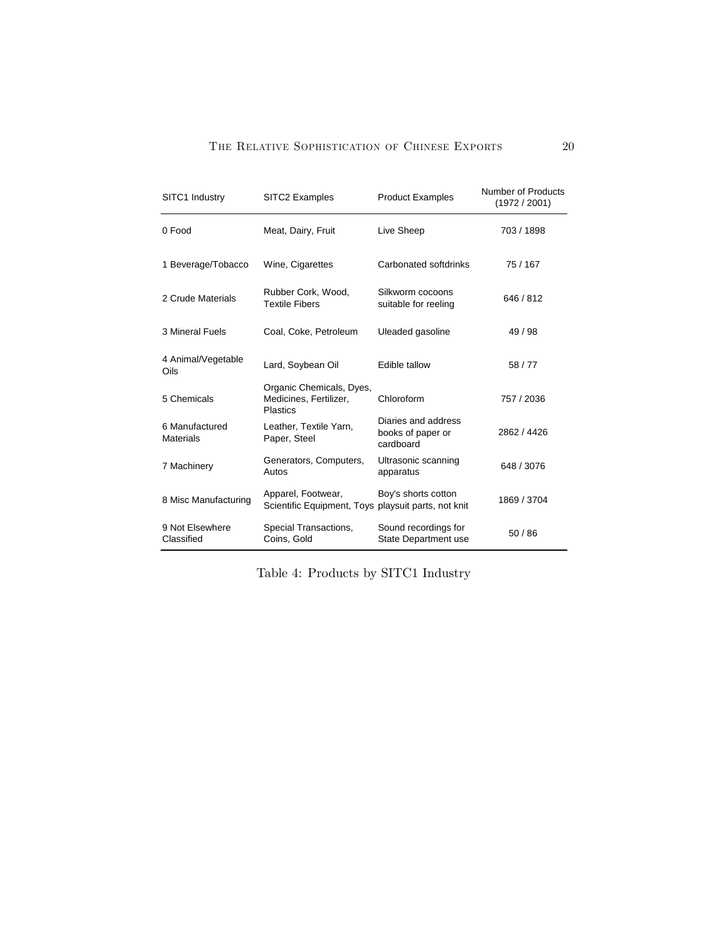## THE RELATIVE SOPHISTICATION OF CHINESE EXPORTS 20

| SITC1 Industry                     | SITC2 Examples                                                            | <b>Product Examples</b>                               | <b>Number of Products</b><br>(1972 / 2001) |
|------------------------------------|---------------------------------------------------------------------------|-------------------------------------------------------|--------------------------------------------|
| 0 Food                             | Meat, Dairy, Fruit                                                        | Live Sheep                                            | 703 / 1898                                 |
| 1 Beverage/Tobacco                 | Wine, Cigarettes                                                          | Carbonated softdrinks                                 | 75 / 167                                   |
| 2 Crude Materials                  | Rubber Cork, Wood,<br><b>Textile Fibers</b>                               | Silkworm cocoons<br>suitable for reeling              | 646 / 812                                  |
| 3 Mineral Fuels                    | Coal, Coke, Petroleum                                                     | Uleaded gasoline                                      | 49/98                                      |
| 4 Animal/Vegetable<br>Oils         | Lard, Soybean Oil                                                         | Edible tallow                                         | 58/77                                      |
| 5 Chemicals                        | Organic Chemicals, Dyes,<br>Medicines, Fertilizer,<br>Plastics            | Chloroform                                            | 757 / 2036                                 |
| 6 Manufactured<br><b>Materials</b> | Leather, Textile Yarn,<br>Paper, Steel                                    | Diaries and address<br>books of paper or<br>cardboard | 2862 / 4426                                |
| 7 Machinery                        | Generators, Computers,<br>Autos                                           | Ultrasonic scanning<br>apparatus                      | 648 / 3076                                 |
| 8 Misc Manufacturing               | Apparel, Footwear,<br>Scientific Equipment, Toys playsuit parts, not knit | Boy's shorts cotton                                   | 1869 / 3704                                |
| 9 Not Elsewhere<br>Classified      | Special Transactions,<br>Coins, Gold                                      | Sound recordings for<br>State Department use          | 50/86                                      |

Table 4: Products by SITC1 Industry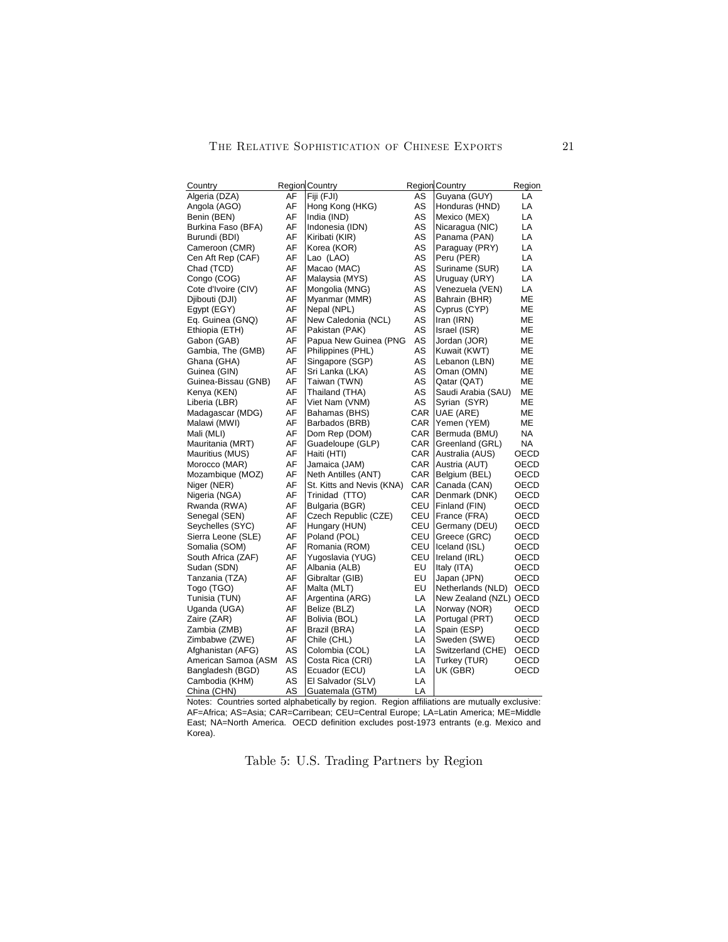| Country             |          | <b>Region Country</b>           |          | <b>Region Country</b>          | Region       |
|---------------------|----------|---------------------------------|----------|--------------------------------|--------------|
| Algeria (DZA)       | AF       | Fiji (FJI)                      | AS       | Guyana (GUY)                   | LA           |
| Angola (AGO)        | AF       | Hong Kong (HKG)                 | AS       | Honduras (HND)                 | LA           |
| Benin (BEN)         | AF       | India (IND)                     | AS       | Mexico (MEX)                   | LA           |
| Burkina Faso (BFA)  | AF       | Indonesia (IDN)                 | AS       | Nicaragua (NIC)                | LA           |
| Burundi (BDI)       | AF       | Kiribati (KIR)                  | AS       | Panama (PAN)                   | LA           |
| Cameroon (CMR)      | AF       | Korea (KOR)                     | AS       | Paraguay (PRY)                 | LA           |
| Cen Aft Rep (CAF)   | AF       | Lao (LAO)                       | AS       | Peru (PER)                     | LA           |
| Chad (TCD)          | AF       | Macao (MAC)                     | AS       | Suriname (SUR)                 | LA           |
| Congo (COG)         | AF       | Malaysia (MYS)                  | AS       | Uruguay (URY)                  | LA           |
| Cote d'Ivoire (CIV) | AF       | Mongolia (MNG)                  | AS       | Venezuela (VEN)                | LA           |
| Djibouti (DJI)      | AF       | Myanmar (MMR)                   | AS       | Bahrain (BHR)                  | мЕ           |
| Egypt (EGY)         | AF       | Nepal (NPL)                     | AS       | Cyprus (CYP)                   | ΜЕ           |
| Eq. Guinea (GNQ)    | AF       | New Caledonia (NCL)             | AS       | Iran (IRN)                     | МE           |
| Ethiopia (ETH)      | AF       | Pakistan (PAK)                  | AS       | Israel (ISR)                   | MЕ           |
| Gabon (GAB)         | AF       | Papua New Guinea (PNG           | AS       | Jordan (JOR)                   | МE           |
| Gambia, The (GMB)   | AF       | Philippines (PHL)               | AS       | Kuwait (KWT)                   | МE           |
| Ghana (GHA)         | AF       | Singapore (SGP)                 | AS       | Lebanon (LBN)                  | MЕ           |
| Guinea (GIN)        | AF       | Sri Lanka (LKA)                 | AS       | Oman (OMN)                     | MЕ           |
| Guinea-Bissau (GNB) | AF       | Taiwan (TWN)                    | AS       | Qatar (QAT)                    | МE           |
| Kenya (KEN)         | AF       | Thailand (THA)                  | AS       | Saudi Arabia (SAU)             | мЕ           |
| Liberia (LBR)       | AF       | Viet Nam (VNM)                  | AS       | Syrian (SYR)                   | МE           |
| Madagascar (MDG)    | AF       | Bahamas (BHS)                   | CAR      | UAE (ARE)                      | МE           |
| Malawi (MWI)        | AF       | Barbados (BRB)                  | CAR      | Yemen (YEM)                    | MЕ           |
| Mali (MLI)          | AF       | Dom Rep (DOM)                   | CAR      | Bermuda (BMU)                  | NA           |
| Mauritania (MRT)    | AF       | Guadeloupe (GLP)                | CAR      | Greenland (GRL)                | NA           |
| Mauritius (MUS)     | AF       | Haiti (HTI)                     | CAR      | Australia (AUS)                | OECD         |
| Morocco (MAR)       | AF       | Jamaica (JAM)                   | CAR      | Austria (AUT)                  | OECD         |
| Mozambique (MOZ)    | AF       | Neth Antilles (ANT)             | CAR      | Belgium (BEL)                  | OECD         |
| Niger (NER)         | AF       | St. Kitts and Nevis (KNA)       | CAR      | Canada (CAN)                   | OECD         |
| Nigeria (NGA)       | AF       | Trinidad (TTO)                  | CAR      | Denmark (DNK)                  | OECD         |
| Rwanda (RWA)        | AF       | Bulgaria (BGR)                  | CEU      | Finland (FIN)                  | OECD         |
| Senegal (SEN)       | AF       | Czech Republic (CZE)            | CEU      | France (FRA)                   | OECD         |
| Seychelles (SYC)    | AF       | Hungary (HUN)                   | CEU      | Germany (DEU)                  | OECD         |
| Sierra Leone (SLE)  | AF       | Poland (POL)                    | CEU      | Greece (GRC)                   | OECD         |
| Somalia (SOM)       | AF       | Romania (ROM)                   | CEU      | Iceland (ISL)                  | OECD         |
| South Africa (ZAF)  | AF       | Yugoslavia (YUG)                | CEU      | Ireland (IRL)                  | OECD         |
| Sudan (SDN)         | AF       | Albania (ALB)                   | EU       | Italy (ITA)                    | OECD         |
| Tanzania (TZA)      | AF       | Gibraltar (GIB)                 | EU       | Japan (JPN)                    | OECD         |
| Togo (TGO)          | AF       | Malta (MLT)                     | EU       | Netherlands (NLD)              | OECD         |
| Tunisia (TUN)       | AF       |                                 | LA       | New Zealand (NZL) OECD         |              |
| Uganda (UGA)        | AF       | Argentina (ARG)<br>Belize (BLZ) | LA       |                                | OECD         |
| Zaire (ZAR)         | AF       |                                 | LA       | Norway (NOR)<br>Portugal (PRT) | OECD         |
|                     | AF       | Bolivia (BOL)                   | LA       |                                | OECD         |
| Zambia (ZMB)        | AF       | Brazil (BRA)                    | LA       | Spain (ESP)                    |              |
| Zimbabwe (ZWE)      | AS       | Chile (CHL)                     | LA       | Sweden (SWE)                   | OECD         |
| Afghanistan (AFG)   | AS       | Colombia (COL)                  |          | Switzerland (CHE)              | OECD<br>OECD |
| American Samoa (ASM |          | Costa Rica (CRI)                | LA       | Turkey (TUR)                   |              |
| Bangladesh (BGD)    | AS<br>AS | Ecuador (ECU)                   | LA<br>LA | UK (GBR)                       | OECD         |
| Cambodia (KHM)      |          | El Salvador (SLV)               |          |                                |              |
| China (CHN)         | AS       | Guatemala (GTM)                 | LA       |                                |              |

Notes: Countries sorted alphabetically by region. Region affiliations are mutually exclusive: AF=Africa; AS=Asia; CAR=Carribean; CEU=Central Europe; LA=Latin America; ME=Middle East; NA=North America. OECD definition excludes post-1973 entrants (e.g. Mexico and Korea).

Table 5: U.S. Trading Partners by Region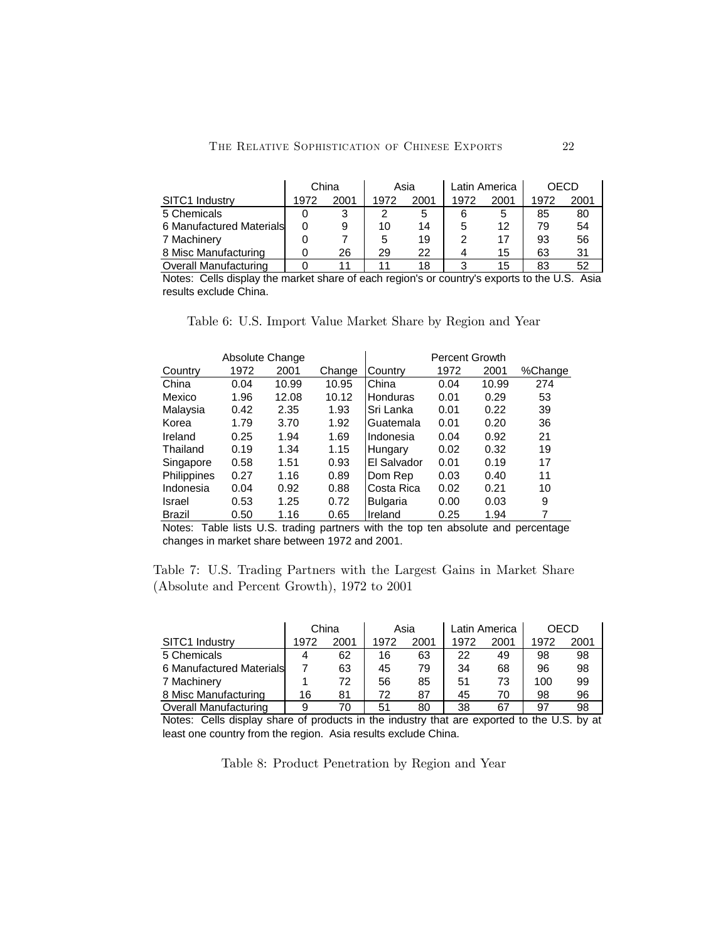|                              | China<br>Asia |      |      | Latin America |      | OECD |      |      |
|------------------------------|---------------|------|------|---------------|------|------|------|------|
| SITC1 Industry               | 1972          | 2001 | 1972 | 2001          | 1972 | 2001 | 1972 | 2001 |
| 5 Chemicals                  |               |      |      | 5             | 6    | 5    | 85   | 80   |
| 6 Manufactured Materials     | 0             | 9    | 10   | 14            |      | 12   | 79   | 54   |
| 7 Machinery                  |               |      | 5    | 19            |      | 17   | 93   | 56   |
| 8 Misc Manufacturing         |               | 26   | 29   | 22            |      | 15   | 63   | 31   |
| <b>Overall Manufacturing</b> |               |      |      | 18            |      | 15   | 83   | 52   |

Notes: Cells display the market share of each region's or country's exports to the U.S. Asia results exclude China.

| Table 6: U.S. Import Value Market Share by Region and Year |  |  |  |  |  |
|------------------------------------------------------------|--|--|--|--|--|
|                                                            |  |  |  |  |  |

|               | Absolute Change |       |        |                 | Percent Growth |       |         |
|---------------|-----------------|-------|--------|-----------------|----------------|-------|---------|
| Country       | 1972            | 2001  | Change | Country         | 1972           | 2001  | %Change |
| China         | 0.04            | 10.99 | 10.95  | China           | 0.04           | 10.99 | 274     |
| Mexico        | 1.96            | 12.08 | 10.12  | <b>Honduras</b> | 0.01           | 0.29  | 53      |
| Malaysia      | 0.42            | 2.35  | 1.93   | Sri Lanka       | 0.01           | 0.22  | 39      |
| Korea         | 1.79            | 3.70  | 1.92   | Guatemala       | 0.01           | 0.20  | 36      |
| Ireland       | 0.25            | 1.94  | 1.69   | Indonesia       | 0.04           | 0.92  | 21      |
| Thailand      | 0.19            | 1.34  | 1.15   | Hungary         | 0.02           | 0.32  | 19      |
| Singapore     | 0.58            | 1.51  | 0.93   | El Salvador     | 0.01           | 0.19  | 17      |
| Philippines   | 0.27            | 1.16  | 0.89   | Dom Rep         | 0.03           | 0.40  | 11      |
| Indonesia     | 0.04            | 0.92  | 0.88   | Costa Rica      | 0.02           | 0.21  | 10      |
| Israel        | 0.53            | 1.25  | 0.72   | Bulgaria        | 0.00           | 0.03  | 9       |
| <b>Brazil</b> | 0.50            | 1.16  | 0.65   | Ireland         | 0.25           | 1.94  | 7       |

Notes: Table lists U.S. trading partners with the top ten absolute and percentage changes in market share between 1972 and 2001.

Table 7: U.S. Trading Partners with the Largest Gains in Market Share (Absolute and Percent Growth), 1972 to 2001

|                          | China |      |      | Asia | Latin America |      | OECD |      |
|--------------------------|-------|------|------|------|---------------|------|------|------|
| SITC1 Industry           | 1972  | 2001 | 1972 | 2001 | 1972          | 2001 | 1972 | 2001 |
| 5 Chemicals              | 4     | 62   | 16   | 63   | 22            | 49   | 98   | 98   |
| 6 Manufactured Materials |       | 63   | 45   | 79   | 34            | 68   | 96   | 98   |
| 7 Machinery              |       | 72   | 56   | 85   | 51            | 73   | 100  | 99   |
| 8 Misc Manufacturing     | 16    | 81   | 72   | 87   | 45            | 70   | 98   | 96   |
| Overall Manufacturing    | 9     | 70   | 51   | 80   | 38            | 67   | 97   | 98   |

Notes: Cells display share of products in the industry that are exported to the U.S. by at least one country from the region. Asia results exclude China.

Table 8: Product Penetration by Region and Year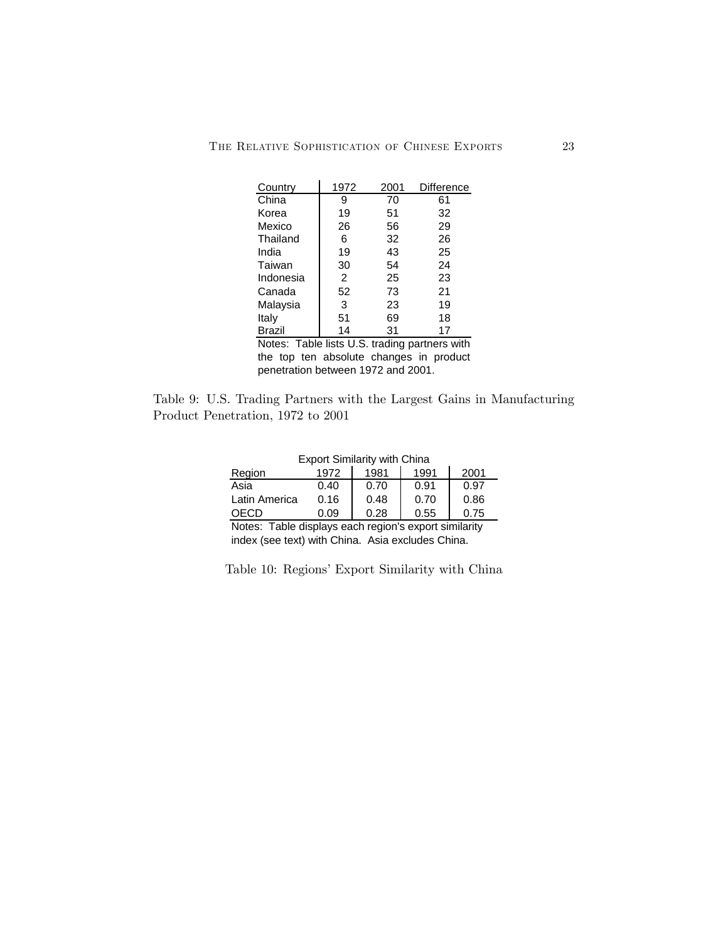| Country   | 1972 | 2001                        | Difference |
|-----------|------|-----------------------------|------------|
| China     | 9    | 70                          | 61         |
| Korea     | 19   | 51                          | 32         |
| Mexico    | 26   | 56                          | 29         |
| Thailand  | 6    | 32                          | 26         |
| India     | 19   | 43                          | 25         |
| Taiwan    | 30   | 54                          | 24         |
| Indonesia | 2    | 25                          | 23         |
| Canada    | 52   | 73                          | 21         |
| Malaysia  | 3    | 23                          | 19         |
| Italy     | 51   | 69                          | 18         |
| Brazil    | 14   | 31                          | 17         |
| $N = 1$   |      | لمعرم متفتح مراسما والمتمعة | حافات د    |

Notes: Table lists U.S. trading partners with the top ten absolute changes in product penetration between 1972 and 2001.

Table 9: U.S. Trading Partners with the Largest Gains in Manufacturing Product Penetration, 1972 to 2001

| <b>Export Similarity with China</b>                   |      |      |      |      |  |  |  |  |
|-------------------------------------------------------|------|------|------|------|--|--|--|--|
| Region                                                | 1972 | 1981 | 1991 | 2001 |  |  |  |  |
| Asia                                                  | 0.40 | 0.70 | 0.91 | 0.97 |  |  |  |  |
| Latin America                                         | 0.16 | 0.48 | 0.70 | 0.86 |  |  |  |  |
| OECD                                                  | 0.09 | 0.28 | 0.55 | 0.75 |  |  |  |  |
| Notes: Table displays each region's export similarity |      |      |      |      |  |  |  |  |

Notes: Table displays each region's export similarity index (see text) with China. Asia excludes China.

Table 10: Regions' Export Similarity with China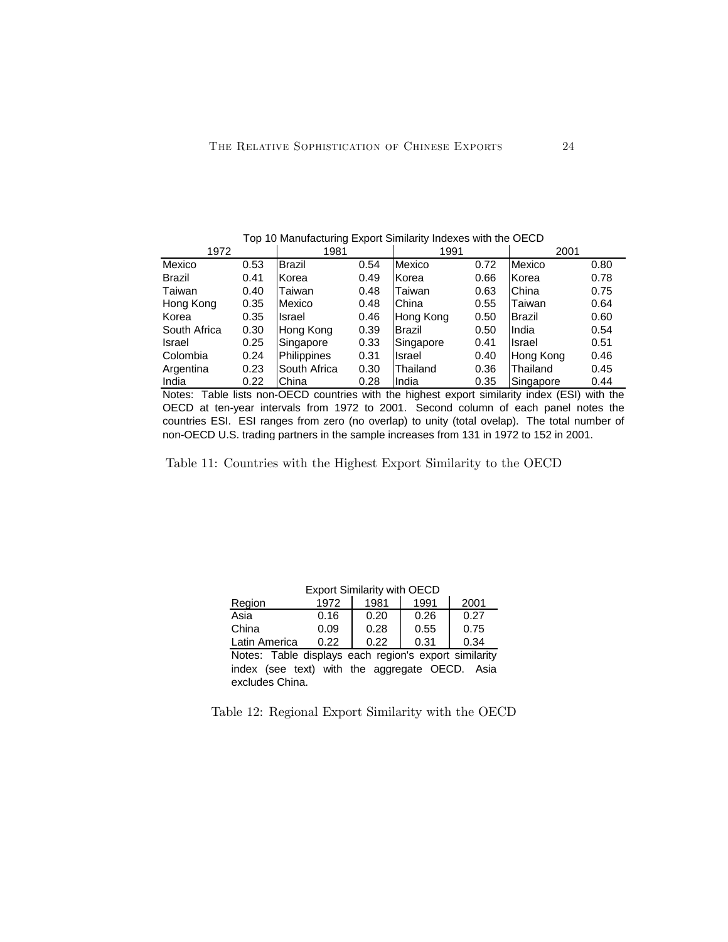Top 10 Manufacturing Export Similarity Indexes with the OECD

| 1972          |      | 1981          |      | 1991      |      | 2001      |      |
|---------------|------|---------------|------|-----------|------|-----------|------|
| Mexico        | 0.53 | <b>Brazil</b> | 0.54 | Mexico    | 0.72 | Mexico    | 0.80 |
| <b>Brazil</b> | 0.41 | lKorea        | 0.49 | Korea     | 0.66 | Korea     | 0.78 |
| Taiwan        | 0.40 | Taiwan        | 0.48 | Taiwan    | 0.63 | China     | 0.75 |
| Hong Kong     | 0.35 | Mexico        | 0.48 | China     | 0.55 | Taiwan    | 0.64 |
| Korea         | 0.35 | <b>Israel</b> | 0.46 | Hong Kong | 0.50 | Brazil    | 0.60 |
| South Africa  | 0.30 | Hong Kong     | 0.39 | Brazil    | 0.50 | India     | 0.54 |
| Israel        | 0.25 | Singapore     | 0.33 | Singapore | 0.41 | Israel    | 0.51 |
| Colombia      | 0.24 | Philippines   | 0.31 | Israel    | 0.40 | Hong Kong | 0.46 |
| Argentina     | 0.23 | South Africa  | 0.30 | Thailand  | 0.36 | Thailand  | 0.45 |
| India         | 0.22 | China         | 0.28 | India     | 0.35 | Singapore | 0.44 |

Notes: Table lists non-OECD countries with the highest export similarity index (ESI) with the OECD at ten-year intervals from 1972 to 2001. Second column of each panel notes the countries ESI. ESI ranges from zero (no overlap) to unity (total ovelap). The total number of non-OECD U.S. trading partners in the sample increases from 131 in 1972 to 152 in 2001.

Table 11: Countries with the Highest Export Similarity to the OECD

| <b>Export Similarity with OECD</b>                    |      |      |      |      |  |  |  |  |
|-------------------------------------------------------|------|------|------|------|--|--|--|--|
| Region                                                | 1972 | 1981 | 1991 | 2001 |  |  |  |  |
| Asia                                                  | 0.16 | 0.20 | 0.26 | 0.27 |  |  |  |  |
| China                                                 | 0.09 | 0.28 | 0.55 | 0.75 |  |  |  |  |
| Latin America                                         | 0.22 | 0.22 | 0.31 | 0.34 |  |  |  |  |
| Notes: Table displays each region's export similarity |      |      |      |      |  |  |  |  |
| index (see text) with the aggregate OECD. Asia        |      |      |      |      |  |  |  |  |

Export Similarity with OECD

Table 12: Regional Export Similarity with the OECD

excludes China.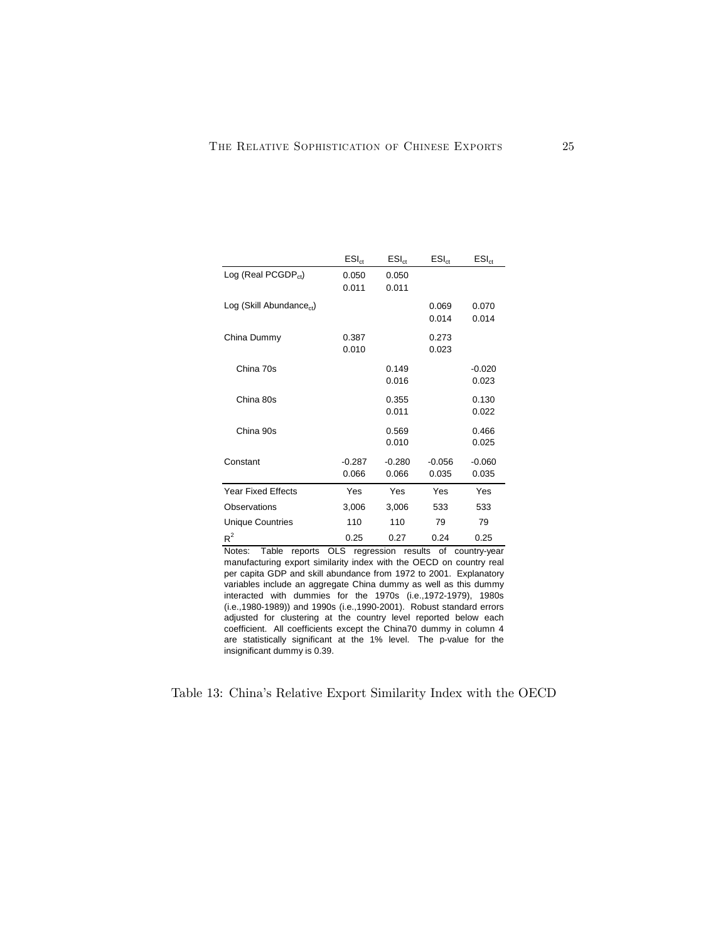|                                      | $ESI_{ct}$ | $ESI_{ct}$ | $ESI_{ct}$ | $ESI_{ct}$ |
|--------------------------------------|------------|------------|------------|------------|
| Log (Real PCGDP $_{ct}$ )            | 0.050      | 0.050      |            |            |
|                                      | 0.011      | 0.011      |            |            |
| Log (Skill Abundance <sub>ct</sub> ) |            |            | 0.069      | 0.070      |
|                                      |            |            | 0.014      | 0.014      |
| China Dummy                          | 0.387      |            | 0.273      |            |
|                                      | 0.010      |            | 0.023      |            |
| China 70s                            |            | 0.149      |            | $-0.020$   |
|                                      |            | 0.016      |            | 0.023      |
| China 80s                            |            | 0.355      |            | 0.130      |
|                                      |            | 0.011      |            | 0.022      |
| China 90s                            |            | 0.569      |            | 0.466      |
|                                      |            | 0.010      |            | 0.025      |
| Constant                             | $-0.287$   | $-0.280$   | $-0.056$   | $-0.060$   |
|                                      | 0.066      | 0.066      | 0.035      | 0.035      |
| <b>Year Fixed Effects</b>            | Yes        | Yes        | Yes        | Yes        |
| Observations                         | 3,006      | 3,006      | 533        | 533        |
| <b>Unique Countries</b>              | 110        | 110        | 79         | 79         |
| $R^2$                                | 0.25       | 0.27       | 0.24       | 0.25       |

Notes: Table reports OLS regression results of country-year manufacturing export similarity index with the OECD on country real per capita GDP and skill abundance from 1972 to 2001. Explanatory variables include an aggregate China dummy as well as this dummy interacted with dummies for the 1970s (i.e.,1972-1979), 1980s (i.e.,1980-1989)) and 1990s (i.e.,1990-2001). Robust standard errors adjusted for clustering at the country level reported below each coefficient. All coefficients except the China70 dummy in column 4 are statistically significant at the 1% level. The p-value for the insignificant dummy is 0.39.

Table 13: China's Relative Export Similarity Index with the OECD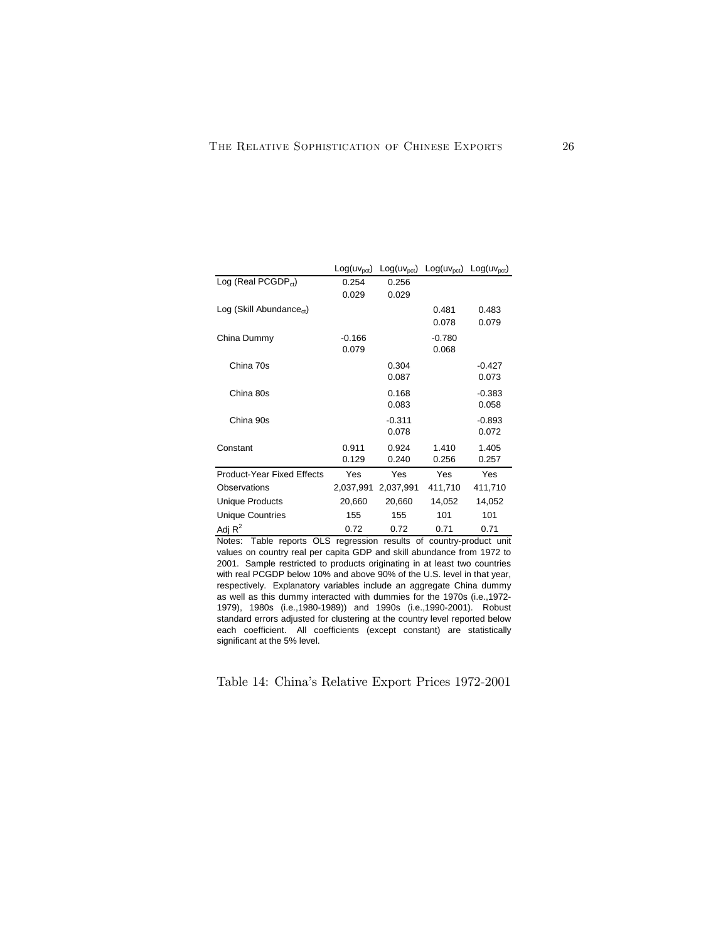|                                     | $Log(uv_{\rm oct})$ | $Log(uv_{\rm oct})$ | $Log(uv_{\text{pct}})$ | $Log(uv_{\text{net}})$ |
|-------------------------------------|---------------------|---------------------|------------------------|------------------------|
| Log (Real PCGDP $_{ct}$ )           | 0.254               | 0.256               |                        |                        |
|                                     | 0.029               | 0.029               |                        |                        |
| Log(Skill Abundance <sub>ct</sub> ) |                     |                     | 0.481                  | 0.483                  |
|                                     |                     |                     | 0.078                  | 0.079                  |
| China Dummy                         | $-0.166$            |                     | $-0.780$               |                        |
|                                     | 0.079               |                     | 0.068                  |                        |
| China 70s                           |                     | 0.304               |                        | $-0.427$               |
|                                     |                     | 0.087               |                        | 0.073                  |
| China 80s                           |                     | 0.168               |                        | $-0.383$               |
|                                     |                     | 0.083               |                        | 0.058                  |
| China 90s                           |                     | $-0.311$            |                        | $-0.893$               |
|                                     |                     | 0.078               |                        | 0.072                  |
| Constant                            | 0.911               | 0.924               | 1.410                  | 1.405                  |
|                                     | 0.129               | 0.240               | 0.256                  | 0.257                  |
| <b>Product-Year Fixed Effects</b>   | Yes                 | Yes                 | Yes                    | Yes                    |
| Observations                        | 2,037,991           | 2,037,991           | 411,710                | 411,710                |
| <b>Unique Products</b>              | 20,660              | 20,660              | 14,052                 | 14,052                 |
| <b>Unique Countries</b>             | 155                 | 155                 | 101                    | 101                    |
| Adj $R^2$                           | 0.72                | 0.72                | 0.71                   | 0.71                   |

Notes: Table reports OLS regression results of country-product unit values on country real per capita GDP and skill abundance from 1972 to 2001. Sample restricted to products originating in at least two countries with real PCGDP below 10% and above 90% of the U.S. level in that year, respectively. Explanatory variables include an aggregate China dummy as well as this dummy interacted with dummies for the 1970s (i.e.,1972- 1979), 1980s (i.e.,1980-1989)) and 1990s (i.e.,1990-2001). Robust standard errors adjusted for clustering at the country level reported below each coefficient. All coefficients (except constant) are statistically significant at the 5% level.

Table 14: China's Relative Export Prices 1972-2001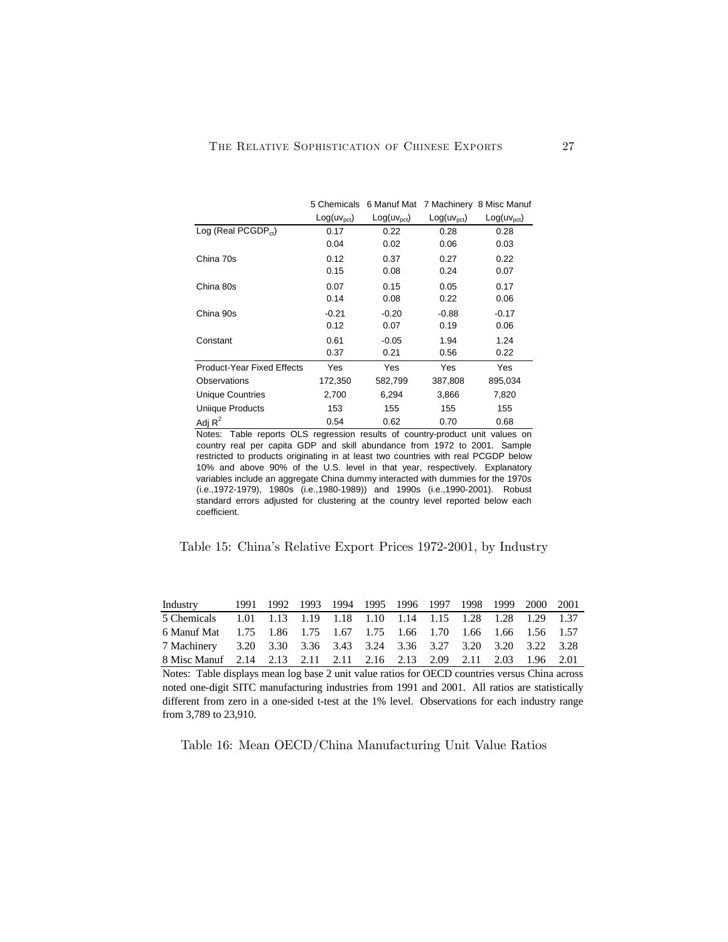|                                            | 5 Chemicals         |                     |                        | 6 Manuf Mat 7 Machinery 8 Misc Manuf |
|--------------------------------------------|---------------------|---------------------|------------------------|--------------------------------------|
|                                            | $Log(uv_{\rm oct})$ | $Log(uv_{\rm oct})$ | $Log(uv_{\text{pct}})$ | $Log(uv_{\rm oct})$                  |
| $\textsf{Log}$ (Real PCGDP <sub>ct</sub> ) | 0.17                | 0.22                | 0.28                   | 0.28                                 |
|                                            | 0.04                | 0.02                | 0.06                   | 0.03                                 |
| China 70s                                  | 0.12                | 0.37                | 0.27                   | 0.22                                 |
|                                            | 0.15                | 0.08                | 0.24                   | 0.07                                 |
| China 80s                                  | 0.07                | 0.15                | 0.05                   | 0.17                                 |
|                                            | 0.14                | 0.08                | 0.22                   | 0.06                                 |
| China 90s                                  | $-0.21$             | $-0.20$             | $-0.88$                | $-0.17$                              |
|                                            | 0.12                | 0.07                | 0.19                   | 0.06                                 |
| Constant                                   | 0.61                | $-0.05$             | 1.94                   | 1.24                                 |
|                                            | 0.37                | 0.21                | 0.56                   | 0.22                                 |
| <b>Product-Year Fixed Effects</b>          | Yes                 | Yes                 | Yes                    | Yes                                  |
| <b>Observations</b>                        | 172,350             | 582,799             | 387,808                | 895,034                              |
| <b>Unique Countries</b>                    | 2,700               | 6,294               | 3,866                  | 7,820                                |
| Uniique Products                           | 153                 | 155                 | 155                    | 155                                  |
| Adj $R^2$                                  | 0.54                | 0.62                | 0.70                   | 0.68                                 |

Notes: Table reports OLS regression results of country-product unit values on country real per capita GDP and skill abundance from 1972 to 2001. Sample restricted to products originating in at least two countries with real PCGDP below 10% and above 90% of the U.S. level in that year, respectively. Explanatory variables include an aggregate China dummy interacted with dummies for the 1970s (i.e.,1972-1979), 1980s (i.e.,1980-1989)) and 1990s (i.e.,1990-2001). Robust standard errors adjusted for clustering at the country level reported below each coefficient.

Table 15: China's Relative Export Prices 1972-2001, by Industry

| Industry                                                            |  |  | 1991 1992 1993 1994 1995 1996 1997 1998 1999 2000 2001 |  |  |  |
|---------------------------------------------------------------------|--|--|--------------------------------------------------------|--|--|--|
| 5 Chemicals 1.01 1.13 1.19 1.18 1.10 1.14 1.15 1.28 1.28 1.29 1.37  |  |  |                                                        |  |  |  |
| 6 Manuf Mat 1.75 1.86 1.75 1.67 1.75 1.66 1.70 1.66 1.66 1.56 1.57  |  |  |                                                        |  |  |  |
| 7 Machinery 3.20 3.30 3.36 3.43 3.24 3.36 3.27 3.20 3.20 3.22 3.28  |  |  |                                                        |  |  |  |
| 8 Misc Manuf 2.14 2.13 2.11 2.11 2.16 2.13 2.09 2.11 2.03 1.96 2.01 |  |  |                                                        |  |  |  |

Notes: Table displays mean log base 2 unit value ratios for OECD countries versus China across noted one-digit SITC manufacturing industries from 1991 and 2001. All ratios are statistically different from zero in a one-sided t-test at the 1% level. Observations for each industry range from 3,789 to 23,910.

Table 16: Mean OECD/China Manufacturing Unit Value Ratios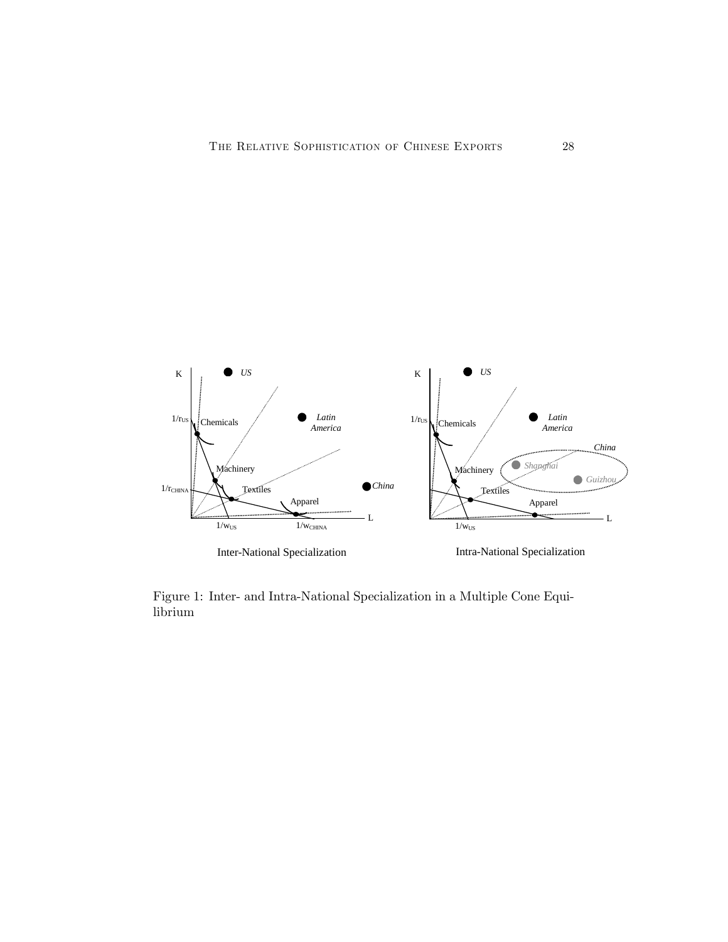

Figure 1: Inter- and Intra-National Specialization in a Multiple Cone Equilibrium